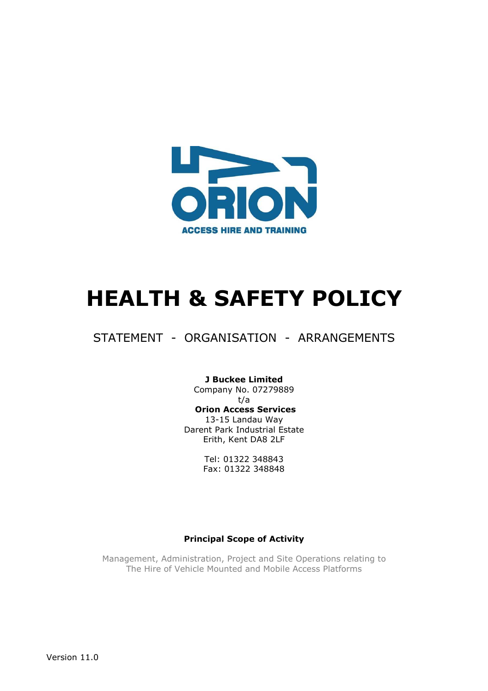

# **HEALTH & SAFETY POLICY**

### STATEMENT - ORGANISATION - ARRANGEMENTS

### **J Buckee Limited**

Company No. 07279889

### t/a

**Orion Access Services**  13-15 Landau Way Darent Park Industrial Estate Erith, Kent DA8 2LF

> Tel: 01322 348843 Fax: 01322 348848

### **Principal Scope of Activity**

Management, Administration, Project and Site Operations relating to The Hire of Vehicle Mounted and Mobile Access Platforms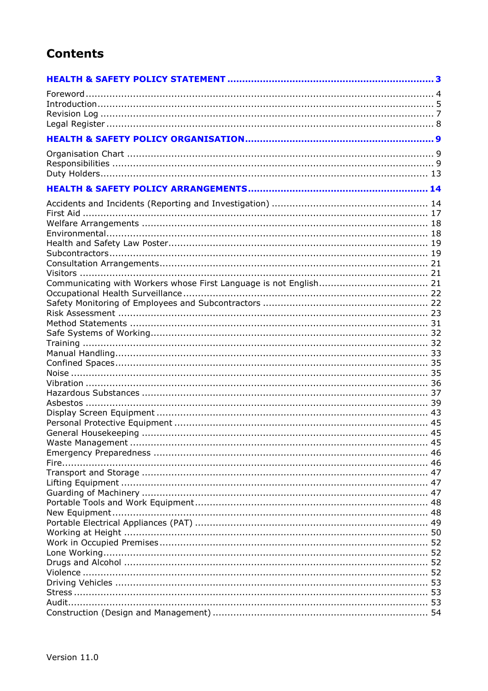### **Contents**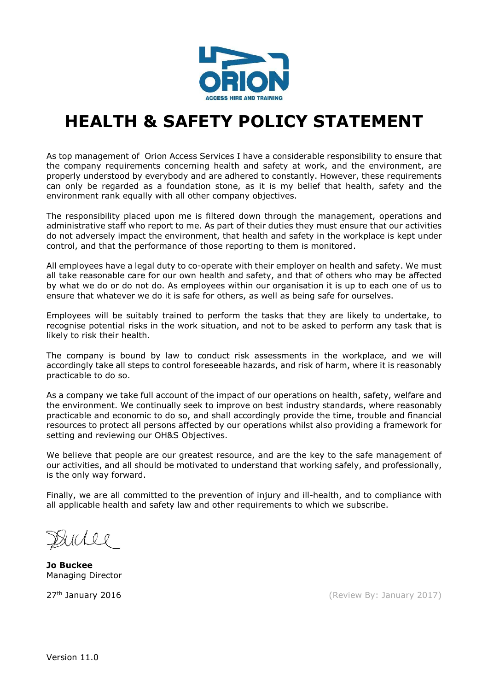

## **HEALTH & SAFETY POLICY STATEMENT**

As top management of Orion Access Services I have a considerable responsibility to ensure that the company requirements concerning health and safety at work, and the environment, are properly understood by everybody and are adhered to constantly. However, these requirements can only be regarded as a foundation stone, as it is my belief that health, safety and the environment rank equally with all other company objectives.

The responsibility placed upon me is filtered down through the management, operations and administrative staff who report to me. As part of their duties they must ensure that our activities do not adversely impact the environment, that health and safety in the workplace is kept under control, and that the performance of those reporting to them is monitored.

All employees have a legal duty to co-operate with their employer on health and safety. We must all take reasonable care for our own health and safety, and that of others who may be affected by what we do or do not do. As employees within our organisation it is up to each one of us to ensure that whatever we do it is safe for others, as well as being safe for ourselves.

Employees will be suitably trained to perform the tasks that they are likely to undertake, to recognise potential risks in the work situation, and not to be asked to perform any task that is likely to risk their health.

The company is bound by law to conduct risk assessments in the workplace, and we will accordingly take all steps to control foreseeable hazards, and risk of harm, where it is reasonably practicable to do so.

As a company we take full account of the impact of our operations on health, safety, welfare and the environment. We continually seek to improve on best industry standards, where reasonably practicable and economic to do so, and shall accordingly provide the time, trouble and financial resources to protect all persons affected by our operations whilst also providing a framework for setting and reviewing our OH&S Objectives.

We believe that people are our greatest resource, and are the key to the safe management of our activities, and all should be motivated to understand that working safely, and professionally, is the only way forward.

Finally, we are all committed to the prevention of injury and ill-health, and to compliance with all applicable health and safety law and other requirements to which we subscribe.

GICLee

**Jo Buckee**  Managing Director

27<sup>th</sup> January 2016 **Contract Contract Contract Contract Contract Contract Contract Contract Contract Contract Contract Contract Contract Contract Contract Contract Contract Contract Contract Contract Contract Contract Con**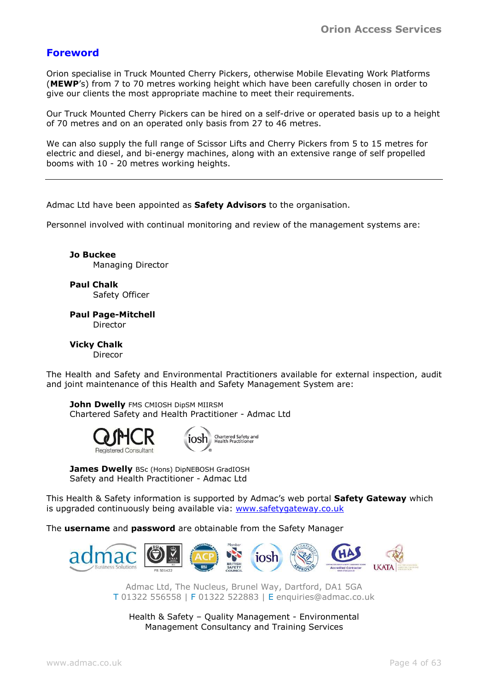### **Foreword**

Orion specialise in Truck Mounted Cherry Pickers, otherwise Mobile Elevating Work Platforms (**MEWP**'s) from 7 to 70 metres working height which have been carefully chosen in order to give our clients the most appropriate machine to meet their requirements.

Our Truck Mounted Cherry Pickers can be hired on a self-drive or operated basis up to a height of 70 metres and on an operated only basis from 27 to 46 metres.

We can also supply the full range of Scissor Lifts and Cherry Pickers from 5 to 15 metres for electric and diesel, and bi-energy machines, along with an extensive range of self propelled booms with 10 - 20 metres working heights.

Admac Ltd have been appointed as **Safety Advisors** to the organisation.

Personnel involved with continual monitoring and review of the management systems are:

**Jo Buckee** Managing Director

**Paul Chalk**  Safety Officer

 **Paul Page-Mitchell** Director

**Vicky Chalk**  Direcor

The Health and Safety and Environmental Practitioners available for external inspection, audit and joint maintenance of this Health and Safety Management System are:

**John Dwelly** FMS CMIOSH DipSM MIIRSM Chartered Safety and Health Practitioner - Admac Ltd



Chartered Safety and

**James Dwelly** BSc (Hons) DipNEBOSH GradIOSH Safety and Health Practitioner - Admac Ltd

This Health & Safety information is supported by Admac's web portal **Safety Gateway** which is upgraded continuously being available via: www.safetygateway.co.uk

The **username** and **password** are obtainable from the Safety Manager



Admac Ltd, The Nucleus, Brunel Way, Dartford, DA1 5GA T 01322 556558 | F 01322 522883 | E enquiries@admac.co.uk

Health & Safety – Quality Management - Environmental Management Consultancy and Training Services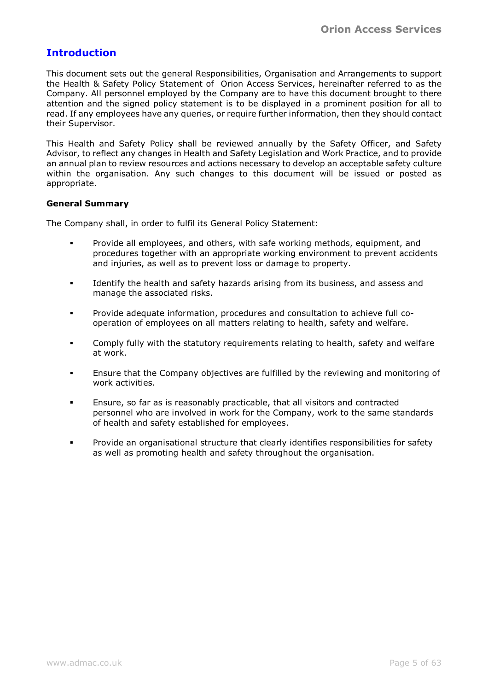### **Introduction**

This document sets out the general Responsibilities, Organisation and Arrangements to support the Health & Safety Policy Statement of Orion Access Services, hereinafter referred to as the Company. All personnel employed by the Company are to have this document brought to there attention and the signed policy statement is to be displayed in a prominent position for all to read. If any employees have any queries, or require further information, then they should contact their Supervisor.

This Health and Safety Policy shall be reviewed annually by the Safety Officer, and Safety Advisor, to reflect any changes in Health and Safety Legislation and Work Practice, and to provide an annual plan to review resources and actions necessary to develop an acceptable safety culture within the organisation. Any such changes to this document will be issued or posted as appropriate.

### **General Summary**

The Company shall, in order to fulfil its General Policy Statement:

- Provide all employees, and others, with safe working methods, equipment, and procedures together with an appropriate working environment to prevent accidents and injuries, as well as to prevent loss or damage to property.
- Identify the health and safety hazards arising from its business, and assess and manage the associated risks.
- Provide adequate information, procedures and consultation to achieve full cooperation of employees on all matters relating to health, safety and welfare.
- Comply fully with the statutory requirements relating to health, safety and welfare at work.
- Ensure that the Company objectives are fulfilled by the reviewing and monitoring of work activities.
- Ensure, so far as is reasonably practicable, that all visitors and contracted personnel who are involved in work for the Company, work to the same standards of health and safety established for employees.
- Provide an organisational structure that clearly identifies responsibilities for safety as well as promoting health and safety throughout the organisation.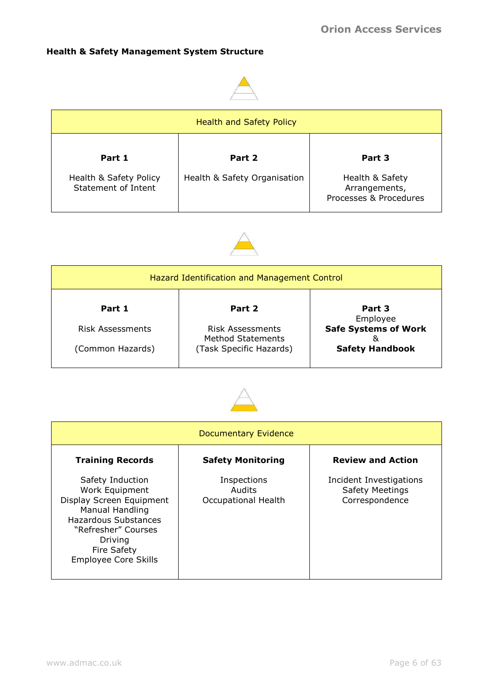### **Health & Safety Management System Structure**



| <b>Health and Safety Policy</b>                         |                                        |                                                                      |  |  |
|---------------------------------------------------------|----------------------------------------|----------------------------------------------------------------------|--|--|
| Part 1<br>Health & Safety Policy<br>Statement of Intent | Part 2<br>Health & Safety Organisation | Part 3<br>Health & Safety<br>Arrangements,<br>Processes & Procedures |  |  |



| Hazard Identification and Management Control |                                              |                             |  |  |
|----------------------------------------------|----------------------------------------------|-----------------------------|--|--|
| Part 1                                       | Part 2                                       | Part 3<br>Employee          |  |  |
| Risk Assessments                             | Risk Assessments<br><b>Method Statements</b> | <b>Safe Systems of Work</b> |  |  |
| (Common Hazards)                             | (Task Specific Hazards)                      | <b>Safety Handbook</b>      |  |  |



|                                                                                                                                                                                                                | Documentary Evidence                         |                                                              |
|----------------------------------------------------------------------------------------------------------------------------------------------------------------------------------------------------------------|----------------------------------------------|--------------------------------------------------------------|
| <b>Training Records</b>                                                                                                                                                                                        | <b>Safety Monitoring</b>                     | <b>Review and Action</b>                                     |
| Safety Induction<br>Work Equipment<br>Display Screen Equipment<br><b>Manual Handling</b><br><b>Hazardous Substances</b><br>"Refresher" Courses<br>Driving<br><b>Fire Safety</b><br><b>Employee Core Skills</b> | Inspections<br>Audits<br>Occupational Health | Incident Investigations<br>Safety Meetings<br>Correspondence |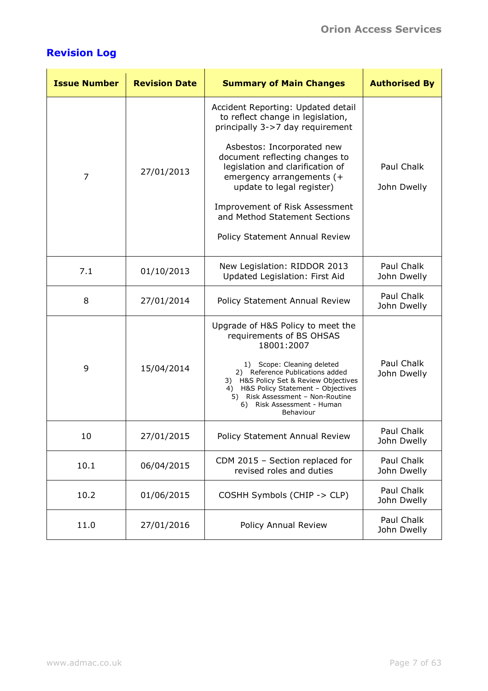### **Revision Log**

| <b>Issue Number</b> | <b>Revision Date</b>                                                                                                                                                                                                                                                                                             | <b>Summary of Main Changes</b>                                                                                                                                                                                                                                                                                                                                                        | <b>Authorised By</b>      |
|---------------------|------------------------------------------------------------------------------------------------------------------------------------------------------------------------------------------------------------------------------------------------------------------------------------------------------------------|---------------------------------------------------------------------------------------------------------------------------------------------------------------------------------------------------------------------------------------------------------------------------------------------------------------------------------------------------------------------------------------|---------------------------|
| 7                   | 27/01/2013                                                                                                                                                                                                                                                                                                       | Accident Reporting: Updated detail<br>to reflect change in legislation,<br>principally 3->7 day requirement<br>Asbestos: Incorporated new<br>document reflecting changes to<br>legislation and clarification of<br>emergency arrangements (+<br>update to legal register)<br><b>Improvement of Risk Assessment</b><br>and Method Statement Sections<br>Policy Statement Annual Review | Paul Chalk<br>John Dwelly |
| 7.1                 | 01/10/2013                                                                                                                                                                                                                                                                                                       | New Legislation: RIDDOR 2013<br>Updated Legislation: First Aid                                                                                                                                                                                                                                                                                                                        | Paul Chalk<br>John Dwelly |
| 8                   | 27/01/2014                                                                                                                                                                                                                                                                                                       | Policy Statement Annual Review                                                                                                                                                                                                                                                                                                                                                        | Paul Chalk<br>John Dwelly |
| 9                   | Upgrade of H&S Policy to meet the<br>requirements of BS OHSAS<br>18001:2007<br>1) Scope: Cleaning deleted<br>15/04/2014<br>2) Reference Publications added<br>3) H&S Policy Set & Review Objectives<br>4) H&S Policy Statement - Objectives<br>5) Risk Assessment - Non-Routine<br>Risk Assessment - Human<br>6) |                                                                                                                                                                                                                                                                                                                                                                                       | Paul Chalk<br>John Dwelly |
| 10                  | 27/01/2015                                                                                                                                                                                                                                                                                                       | Policy Statement Annual Review                                                                                                                                                                                                                                                                                                                                                        | Paul Chalk<br>John Dwelly |
| 10.1                | 06/04/2015                                                                                                                                                                                                                                                                                                       | CDM 2015 - Section replaced for<br>revised roles and duties                                                                                                                                                                                                                                                                                                                           | Paul Chalk<br>John Dwelly |
| 10.2                | 01/06/2015                                                                                                                                                                                                                                                                                                       | COSHH Symbols (CHIP -> CLP)                                                                                                                                                                                                                                                                                                                                                           | Paul Chalk<br>John Dwelly |
| 11.0                | 27/01/2016                                                                                                                                                                                                                                                                                                       | Policy Annual Review                                                                                                                                                                                                                                                                                                                                                                  | Paul Chalk<br>John Dwelly |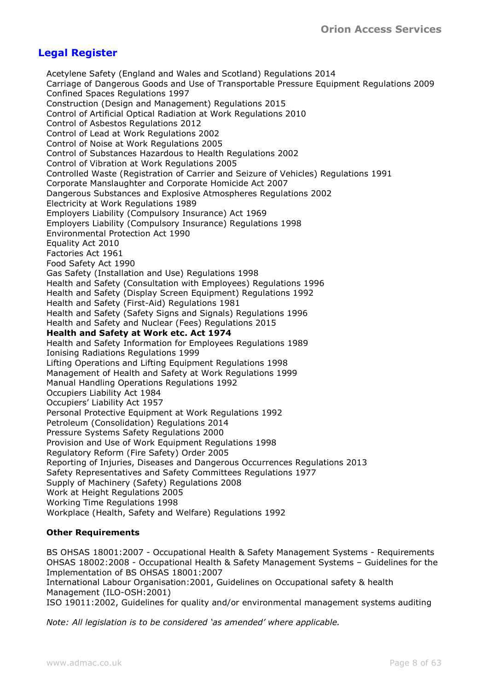### **Legal Register**

Acetylene Safety (England and Wales and Scotland) Regulations 2014 Carriage of Dangerous Goods and Use of Transportable Pressure Equipment Regulations 2009 Confined Spaces Regulations 1997 Construction (Design and Management) Regulations 2015 Control of Artificial Optical Radiation at Work Regulations 2010 Control of Asbestos Regulations 2012 Control of Lead at Work Regulations 2002 Control of Noise at Work Regulations 2005 Control of Substances Hazardous to Health Regulations 2002 Control of Vibration at Work Regulations 2005 Controlled Waste (Registration of Carrier and Seizure of Vehicles) Regulations 1991 Corporate Manslaughter and Corporate Homicide Act 2007 Dangerous Substances and Explosive Atmospheres Regulations 2002 Electricity at Work Regulations 1989 Employers Liability (Compulsory Insurance) Act 1969 Employers Liability (Compulsory Insurance) Regulations 1998 Environmental Protection Act 1990 Equality Act 2010 Factories Act 1961 Food Safety Act 1990 Gas Safety (Installation and Use) Regulations 1998 Health and Safety (Consultation with Employees) Regulations 1996 Health and Safety (Display Screen Equipment) Regulations 1992 Health and Safety (First-Aid) Regulations 1981 Health and Safety (Safety Signs and Signals) Regulations 1996 Health and Safety and Nuclear (Fees) Regulations 2015 **Health and Safety at Work etc. Act 1974**  Health and Safety Information for Employees Regulations 1989 Ionising Radiations Regulations 1999 Lifting Operations and Lifting Equipment Regulations 1998 Management of Health and Safety at Work Regulations 1999 Manual Handling Operations Regulations 1992 Occupiers Liability Act 1984 Occupiers' Liability Act 1957 Personal Protective Equipment at Work Regulations 1992 Petroleum (Consolidation) Regulations 2014 Pressure Systems Safety Regulations 2000 Provision and Use of Work Equipment Regulations 1998 Regulatory Reform (Fire Safety) Order 2005 Reporting of Injuries, Diseases and Dangerous Occurrences Regulations 2013 Safety Representatives and Safety Committees Regulations 1977 Supply of Machinery (Safety) Regulations 2008 Work at Height Regulations 2005 Working Time Regulations 1998 Workplace (Health, Safety and Welfare) Regulations 1992

### **Other Requirements**

BS OHSAS 18001:2007 - Occupational Health & Safety Management Systems - Requirements OHSAS 18002:2008 - Occupational Health & Safety Management Systems – Guidelines for the Implementation of BS OHSAS 18001:2007 International Labour Organisation:2001, Guidelines on Occupational safety & health Management (ILO-OSH:2001) ISO 19011:2002, Guidelines for quality and/or environmental management systems auditing

*Note: All legislation is to be considered 'as amended' where applicable.*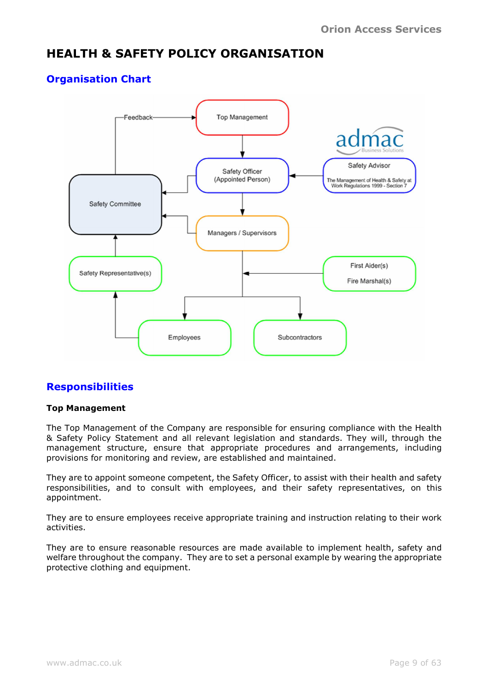### **HEALTH & SAFETY POLICY ORGANISATION**

### **Organisation Chart**



### **Responsibilities**

### **Top Management**

The Top Management of the Company are responsible for ensuring compliance with the Health & Safety Policy Statement and all relevant legislation and standards. They will, through the management structure, ensure that appropriate procedures and arrangements, including provisions for monitoring and review, are established and maintained.

They are to appoint someone competent, the Safety Officer, to assist with their health and safety responsibilities, and to consult with employees, and their safety representatives, on this appointment.

They are to ensure employees receive appropriate training and instruction relating to their work activities.

They are to ensure reasonable resources are made available to implement health, safety and welfare throughout the company. They are to set a personal example by wearing the appropriate protective clothing and equipment.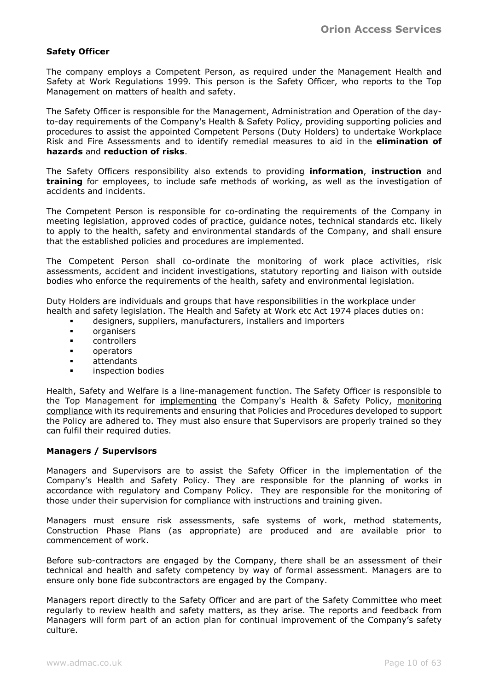### **Safety Officer**

The company employs a Competent Person, as required under the Management Health and Safety at Work Regulations 1999. This person is the Safety Officer, who reports to the Top Management on matters of health and safety.

The Safety Officer is responsible for the Management, Administration and Operation of the dayto-day requirements of the Company's Health & Safety Policy, providing supporting policies and procedures to assist the appointed Competent Persons (Duty Holders) to undertake Workplace Risk and Fire Assessments and to identify remedial measures to aid in the **elimination of hazards** and **reduction of risks**.

The Safety Officers responsibility also extends to providing **information**, **instruction** and **training** for employees, to include safe methods of working, as well as the investigation of accidents and incidents.

The Competent Person is responsible for co-ordinating the requirements of the Company in meeting legislation, approved codes of practice, guidance notes, technical standards etc. likely to apply to the health, safety and environmental standards of the Company, and shall ensure that the established policies and procedures are implemented.

The Competent Person shall co-ordinate the monitoring of work place activities, risk assessments, accident and incident investigations, statutory reporting and liaison with outside bodies who enforce the requirements of the health, safety and environmental legislation.

Duty Holders are individuals and groups that have responsibilities in the workplace under health and safety legislation. The Health and Safety at Work etc Act 1974 places duties on:

- designers, suppliers, manufacturers, installers and importers
- **COLLEGE T**
- controllers
- **CODE CODE CODE**
- **Exercise 1**
- inspection bodies

Health, Safety and Welfare is a line-management function. The Safety Officer is responsible to the Top Management for implementing the Company's Health & Safety Policy, monitoring compliance with its requirements and ensuring that Policies and Procedures developed to support the Policy are adhered to. They must also ensure that Supervisors are properly trained so they can fulfil their required duties.

#### **Managers / Supervisors**

Managers and Supervisors are to assist the Safety Officer in the implementation of the Company's Health and Safety Policy. They are responsible for the planning of works in accordance with regulatory and Company Policy. They are responsible for the monitoring of those under their supervision for compliance with instructions and training given.

Managers must ensure risk assessments, safe systems of work, method statements, Construction Phase Plans (as appropriate) are produced and are available prior to commencement of work.

Before sub-contractors are engaged by the Company, there shall be an assessment of their technical and health and safety competency by way of formal assessment. Managers are to ensure only bone fide subcontractors are engaged by the Company.

Managers report directly to the Safety Officer and are part of the Safety Committee who meet regularly to review health and safety matters, as they arise. The reports and feedback from Managers will form part of an action plan for continual improvement of the Company's safety culture.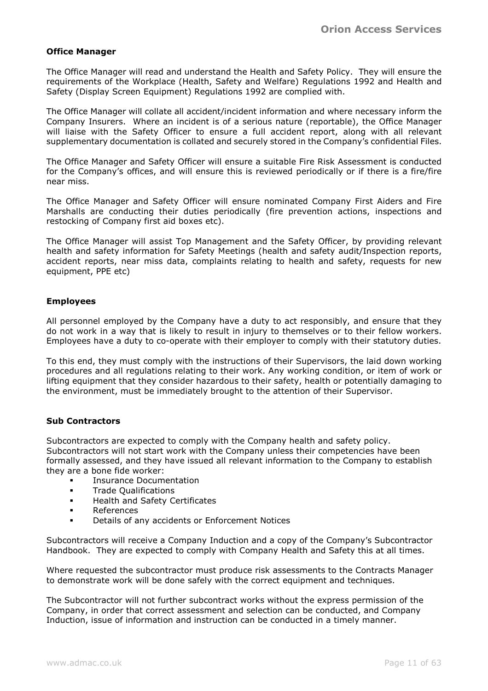#### **Office Manager**

The Office Manager will read and understand the Health and Safety Policy. They will ensure the requirements of the Workplace (Health, Safety and Welfare) Regulations 1992 and Health and Safety (Display Screen Equipment) Regulations 1992 are complied with.

The Office Manager will collate all accident/incident information and where necessary inform the Company Insurers. Where an incident is of a serious nature (reportable), the Office Manager will liaise with the Safety Officer to ensure a full accident report, along with all relevant supplementary documentation is collated and securely stored in the Company's confidential Files.

The Office Manager and Safety Officer will ensure a suitable Fire Risk Assessment is conducted for the Company's offices, and will ensure this is reviewed periodically or if there is a fire/fire near miss.

The Office Manager and Safety Officer will ensure nominated Company First Aiders and Fire Marshalls are conducting their duties periodically (fire prevention actions, inspections and restocking of Company first aid boxes etc).

The Office Manager will assist Top Management and the Safety Officer, by providing relevant health and safety information for Safety Meetings (health and safety audit/Inspection reports, accident reports, near miss data, complaints relating to health and safety, requests for new equipment, PPE etc)

#### **Employees**

All personnel employed by the Company have a duty to act responsibly, and ensure that they do not work in a way that is likely to result in injury to themselves or to their fellow workers. Employees have a duty to co-operate with their employer to comply with their statutory duties.

To this end, they must comply with the instructions of their Supervisors, the laid down working procedures and all regulations relating to their work. Any working condition, or item of work or lifting equipment that they consider hazardous to their safety, health or potentially damaging to the environment, must be immediately brought to the attention of their Supervisor.

#### **Sub Contractors**

Subcontractors are expected to comply with the Company health and safety policy. Subcontractors will not start work with the Company unless their competencies have been formally assessed, and they have issued all relevant information to the Company to establish they are a bone fide worker:

- **Insurance Documentation**
- **Trade Qualifications**
- Health and Safety Certificates
- **References**
- **•** Details of any accidents or Enforcement Notices

Subcontractors will receive a Company Induction and a copy of the Company's Subcontractor Handbook. They are expected to comply with Company Health and Safety this at all times.

Where requested the subcontractor must produce risk assessments to the Contracts Manager to demonstrate work will be done safely with the correct equipment and techniques.

The Subcontractor will not further subcontract works without the express permission of the Company, in order that correct assessment and selection can be conducted, and Company Induction, issue of information and instruction can be conducted in a timely manner.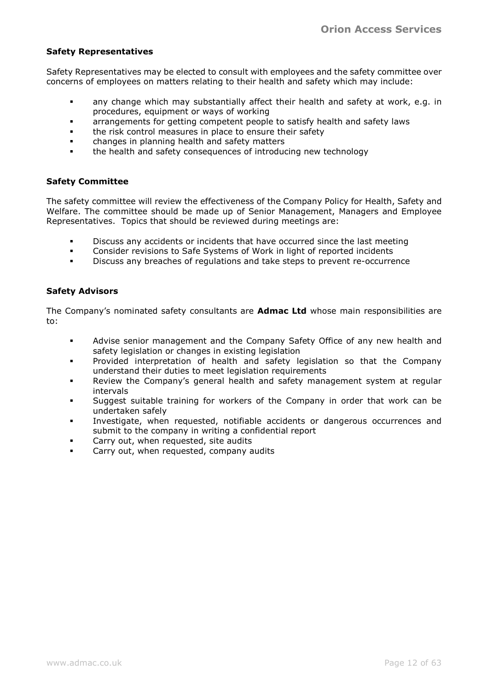#### **Safety Representatives**

Safety Representatives may be elected to consult with employees and the safety committee over concerns of employees on matters relating to their health and safety which may include:

- any change which may substantially affect their health and safety at work, e.g. in procedures, equipment or ways of working
- arrangements for getting competent people to satisfy health and safety laws
- the risk control measures in place to ensure their safety
- changes in planning health and safety matters
- the health and safety consequences of introducing new technology

#### **Safety Committee**

The safety committee will review the effectiveness of the Company Policy for Health, Safety and Welfare. The committee should be made up of Senior Management, Managers and Employee Representatives. Topics that should be reviewed during meetings are:

- Discuss any accidents or incidents that have occurred since the last meeting
- Consider revisions to Safe Systems of Work in light of reported incidents
- Discuss any breaches of regulations and take steps to prevent re-occurrence

### **Safety Advisors**

The Company's nominated safety consultants are **Admac Ltd** whose main responsibilities are to:

- Advise senior management and the Company Safety Office of any new health and safety legislation or changes in existing legislation
- Provided interpretation of health and safety legislation so that the Company understand their duties to meet legislation requirements
- Review the Company's general health and safety management system at regular intervals
- Suggest suitable training for workers of the Company in order that work can be undertaken safely
- Investigate, when requested, notifiable accidents or dangerous occurrences and submit to the company in writing a confidential report
- Carry out, when requested, site audits
- Carry out, when requested, company audits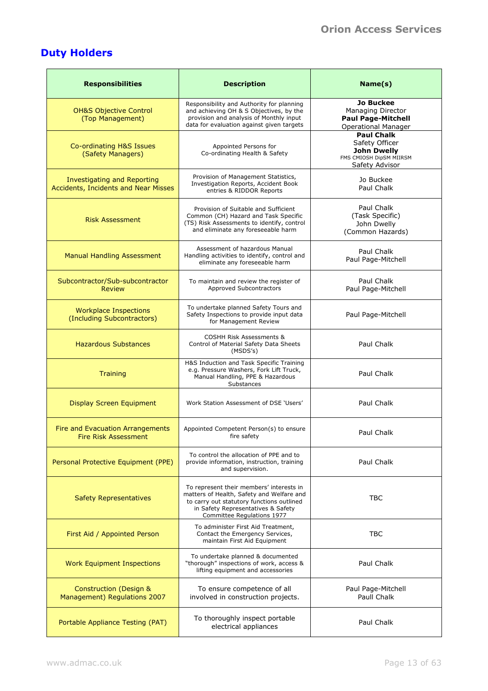### **Duty Holders**

| <b>Responsibilities</b>                                                    | <b>Description</b>                                                                                                                                                                                     | Name(s)                                                                                                |  |
|----------------------------------------------------------------------------|--------------------------------------------------------------------------------------------------------------------------------------------------------------------------------------------------------|--------------------------------------------------------------------------------------------------------|--|
| <b>OH&amp;S Objective Control</b><br>(Top Management)                      | Responsibility and Authority for planning<br>and achieving OH & S Objectives, by the<br>provision and analysis of Monthly input<br>data for evaluation against given targets                           | Jo Buckee<br>Managing Director<br><b>Paul Page-Mitchell</b><br><b>Operational Manager</b>              |  |
| Co-ordinating H&S Issues<br>(Safety Managers)                              | Appointed Persons for<br>Co-ordinating Health & Safety                                                                                                                                                 | <b>Paul Chalk</b><br>Safety Officer<br><b>John Dwelly</b><br>FMS CMIOSH DipSM MIIRSM<br>Safety Advisor |  |
| <b>Investigating and Reporting</b><br>Accidents, Incidents and Near Misses | Provision of Management Statistics,<br>Investigation Reports, Accident Book<br>entries & RIDDOR Reports                                                                                                | Jo Buckee<br>Paul Chalk                                                                                |  |
| <b>Risk Assessment</b>                                                     | Provision of Suitable and Sufficient<br>Common (CH) Hazard and Task Specific<br>(TS) Risk Assessments to identify, control<br>and eliminate any foreseeable harm                                       | Paul Chalk<br>(Task Specific)<br>John Dwelly<br>(Common Hazards)                                       |  |
| Manual Handling Assessment                                                 | Assessment of hazardous Manual<br>Handling activities to identify, control and<br>eliminate any foreseeable harm                                                                                       | Paul Chalk<br>Paul Page-Mitchell                                                                       |  |
| Subcontractor/Sub-subcontractor<br><b>Review</b>                           | To maintain and review the register of<br><b>Approved Subcontractors</b>                                                                                                                               | Paul Chalk<br>Paul Page-Mitchell                                                                       |  |
| <b>Workplace Inspections</b><br>(Including Subcontractors)                 | To undertake planned Safety Tours and<br>Safety Inspections to provide input data<br>for Management Review                                                                                             | Paul Page-Mitchell                                                                                     |  |
| <b>Hazardous Substances</b>                                                | <b>COSHH Risk Assessments &amp;</b><br>Control of Material Safety Data Sheets<br>(MSDS's)                                                                                                              | Paul Chalk                                                                                             |  |
| <b>Training</b>                                                            | H&S Induction and Task Specific Training<br>e.g. Pressure Washers, Fork Lift Truck,<br>Manual Handling, PPE & Hazardous<br>Substances                                                                  | Paul Chalk                                                                                             |  |
| <b>Display Screen Equipment</b>                                            | Work Station Assessment of DSE 'Users'                                                                                                                                                                 | Paul Chalk                                                                                             |  |
| Fire and Evacuation Arrangements<br>Fire Risk Assessment                   | Appointed Competent Person(s) to ensure<br>fire safety                                                                                                                                                 | Paul Chalk                                                                                             |  |
| Personal Protective Equipment (PPE)                                        | To control the allocation of PPE and to<br>provide information, instruction, training<br>and supervision.                                                                                              | Paul Chalk                                                                                             |  |
| <b>Safety Representatives</b>                                              | To represent their members' interests in<br>matters of Health, Safety and Welfare and<br>to carry out statutory functions outlined<br>in Safety Representatives & Safety<br>Committee Regulations 1977 | <b>TBC</b>                                                                                             |  |
| First Aid / Appointed Person                                               | To administer First Aid Treatment,<br>Contact the Emergency Services,<br>maintain First Aid Equipment                                                                                                  | TBC                                                                                                    |  |
| <b>Work Equipment Inspections</b>                                          | To undertake planned & documented<br>"thorough" inspections of work, access &<br>lifting equipment and accessories                                                                                     | Paul Chalk                                                                                             |  |
| <b>Construction (Design &amp;</b><br>Management) Regulations 2007          | To ensure competence of all<br>involved in construction projects.                                                                                                                                      | Paul Page-Mitchell<br>Paull Chalk                                                                      |  |
| Portable Appliance Testing (PAT)                                           | To thoroughly inspect portable<br>electrical appliances                                                                                                                                                | Paul Chalk                                                                                             |  |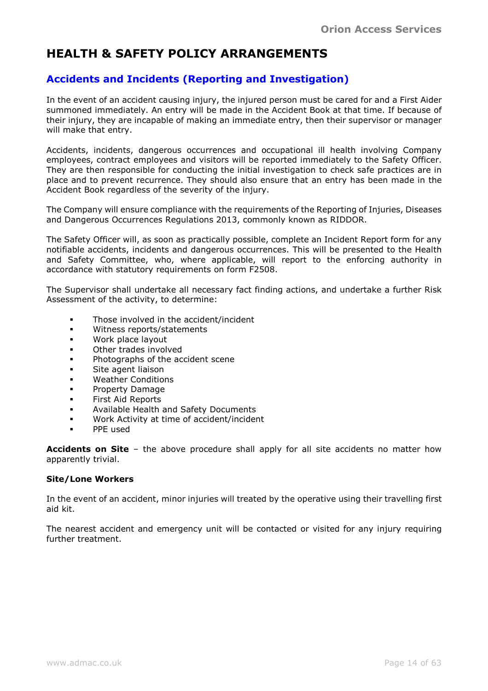### **HEALTH & SAFETY POLICY ARRANGEMENTS**

### **Accidents and Incidents (Reporting and Investigation)**

In the event of an accident causing injury, the injured person must be cared for and a First Aider summoned immediately. An entry will be made in the Accident Book at that time. If because of their injury, they are incapable of making an immediate entry, then their supervisor or manager will make that entry.

Accidents, incidents, dangerous occurrences and occupational ill health involving Company employees, contract employees and visitors will be reported immediately to the Safety Officer. They are then responsible for conducting the initial investigation to check safe practices are in place and to prevent recurrence. They should also ensure that an entry has been made in the Accident Book regardless of the severity of the injury.

The Company will ensure compliance with the requirements of the Reporting of Injuries, Diseases and Dangerous Occurrences Regulations 2013, commonly known as RIDDOR.

The Safety Officer will, as soon as practically possible, complete an Incident Report form for any notifiable accidents, incidents and dangerous occurrences. This will be presented to the Health and Safety Committee, who, where applicable, will report to the enforcing authority in accordance with statutory requirements on form F2508.

The Supervisor shall undertake all necessary fact finding actions, and undertake a further Risk Assessment of the activity, to determine:

- **Those involved in the accident/incident**
- **Witness reports/statements**
- **Work place layout**
- **•** Other trades involved
- Photographs of the accident scene
- Site agent liaison
- **Weather Conditions**
- Property Damage
- First Aid Reports
- **Available Health and Safety Documents**
- Work Activity at time of accident/incident
- **PPE** used

**Accidents on Site** – the above procedure shall apply for all site accidents no matter how apparently trivial.

#### **Site/Lone Workers**

In the event of an accident, minor injuries will treated by the operative using their travelling first aid kit.

The nearest accident and emergency unit will be contacted or visited for any injury requiring further treatment.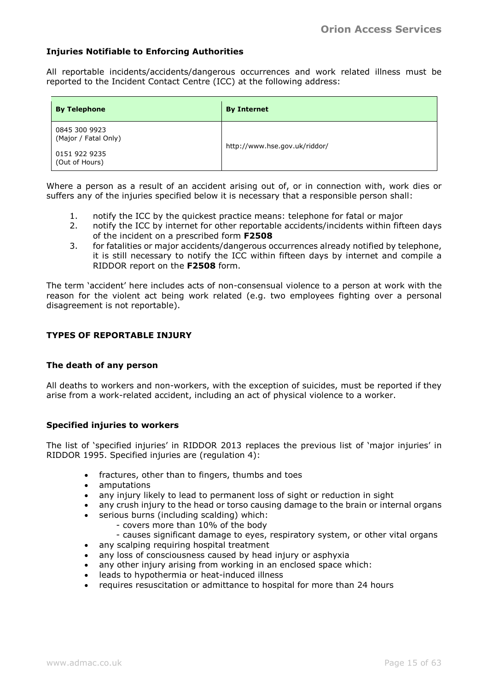### **Injuries Notifiable to Enforcing Authorities**

All reportable incidents/accidents/dangerous occurrences and work related illness must be reported to the Incident Contact Centre (ICC) at the following address:

| <b>By Telephone</b>                                                      | <b>By Internet</b>            |
|--------------------------------------------------------------------------|-------------------------------|
| 0845 300 9923<br>(Major / Fatal Only)<br>0151 922 9235<br>(Out of Hours) | http://www.hse.gov.uk/riddor/ |

Where a person as a result of an accident arising out of, or in connection with, work dies or suffers any of the injuries specified below it is necessary that a responsible person shall:

- 1. notify the ICC by the quickest practice means: telephone for fatal or major
- 2. notify the ICC by internet for other reportable accidents/incidents within fifteen days of the incident on a prescribed form **F2508**
- 3. for fatalities or major accidents/dangerous occurrences already notified by telephone, it is still necessary to notify the ICC within fifteen days by internet and compile a RIDDOR report on the **F2508** form.

The term 'accident' here includes acts of non-consensual violence to a person at work with the reason for the violent act being work related (e.g. two employees fighting over a personal disagreement is not reportable).

### **TYPES OF REPORTABLE INJURY**

#### **The death of any person**

All deaths to workers and non-workers, with the exception of suicides, must be reported if they arise from a work-related accident, including an act of physical violence to a worker.

#### **Specified injuries to workers**

The list of 'specified injuries' in RIDDOR 2013 replaces the previous list of 'major injuries' in RIDDOR 1995. Specified injuries are (regulation 4):

- fractures, other than to fingers, thumbs and toes
- amputations
- any injury likely to lead to permanent loss of sight or reduction in sight
- any crush injury to the head or torso causing damage to the brain or internal organs
- serious burns (including scalding) which:
	- covers more than 10% of the body
	- causes significant damage to eyes, respiratory system, or other vital organs
- any scalping requiring hospital treatment
- any loss of consciousness caused by head injury or asphyxia
- any other injury arising from working in an enclosed space which:
- leads to hypothermia or heat-induced illness
- requires resuscitation or admittance to hospital for more than 24 hours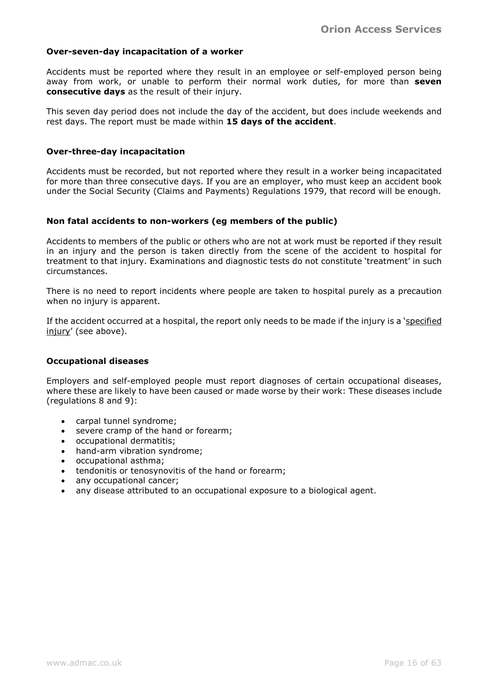#### **Over-seven-day incapacitation of a worker**

Accidents must be reported where they result in an employee or self-employed person being away from work, or unable to perform their normal work duties, for more than **seven consecutive days** as the result of their injury.

This seven day period does not include the day of the accident, but does include weekends and rest days. The report must be made within **15 days of the accident**.

#### **Over-three-day incapacitation**

Accidents must be recorded, but not reported where they result in a worker being incapacitated for more than three consecutive days. If you are an employer, who must keep an accident book under the Social Security (Claims and Payments) Regulations 1979, that record will be enough.

### **Non fatal accidents to non-workers (eg members of the public)**

Accidents to members of the public or others who are not at work must be reported if they result in an injury and the person is taken directly from the scene of the accident to hospital for treatment to that injury. Examinations and diagnostic tests do not constitute 'treatment' in such circumstances.

There is no need to report incidents where people are taken to hospital purely as a precaution when no injury is apparent.

If the accident occurred at a hospital, the report only needs to be made if the injury is a 'specified injury' (see above).

#### **Occupational diseases**

Employers and self-employed people must report diagnoses of certain occupational diseases, where these are likely to have been caused or made worse by their work: These diseases include (regulations 8 and 9):

- carpal tunnel syndrome;
- severe cramp of the hand or forearm;
- occupational dermatitis;
- hand-arm vibration syndrome;
- occupational asthma;
- tendonitis or tenosynovitis of the hand or forearm;
- any occupational cancer;
- any disease attributed to an occupational exposure to a biological agent.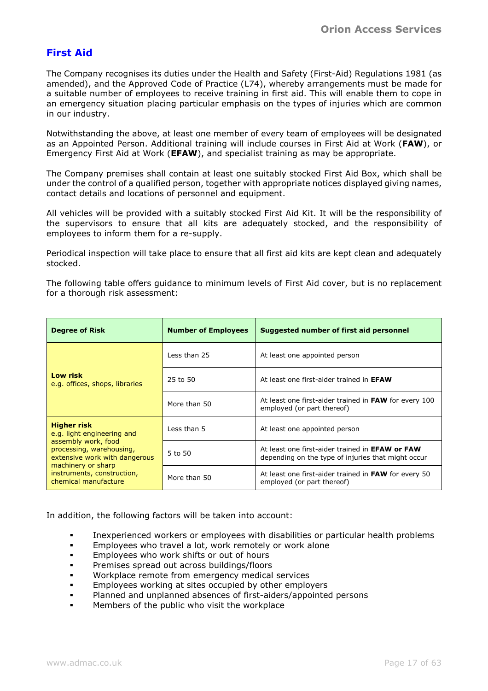### **First Aid**

The Company recognises its duties under the Health and Safety (First-Aid) Regulations 1981 (as amended), and the Approved Code of Practice (L74), whereby arrangements must be made for a suitable number of employees to receive training in first aid. This will enable them to cope in an emergency situation placing particular emphasis on the types of injuries which are common in our industry.

Notwithstanding the above, at least one member of every team of employees will be designated as an Appointed Person. Additional training will include courses in First Aid at Work (**FAW**), or Emergency First Aid at Work (**EFAW**), and specialist training as may be appropriate.

The Company premises shall contain at least one suitably stocked First Aid Box, which shall be under the control of a qualified person, together with appropriate notices displayed giving names, contact details and locations of personnel and equipment.

All vehicles will be provided with a suitably stocked First Aid Kit. It will be the responsibility of the supervisors to ensure that all kits are adequately stocked, and the responsibility of employees to inform them for a re-supply.

Periodical inspection will take place to ensure that all first aid kits are kept clean and adequately stocked.

The following table offers guidance to minimum levels of First Aid cover, but is no replacement for a thorough risk assessment:

| <b>Degree of Risk</b>                                                            | <b>Number of Employees</b> | Suggested number of first aid personnel                                                                      |  |
|----------------------------------------------------------------------------------|----------------------------|--------------------------------------------------------------------------------------------------------------|--|
|                                                                                  | Less than 25               | At least one appointed person                                                                                |  |
| Low risk<br>e.g. offices, shops, libraries                                       | $25$ to $50$               | At least one first-aider trained in <b>EFAW</b>                                                              |  |
|                                                                                  | More than 50               | At least one first-aider trained in FAW for every 100<br>employed (or part thereof)                          |  |
| <b>Higher risk</b><br>e.g. light engineering and                                 | Less than 5                | At least one appointed person                                                                                |  |
| assembly work, food<br>processing, warehousing,<br>extensive work with dangerous | 5 to 50                    | At least one first-aider trained in <b>EFAW or FAW</b><br>depending on the type of injuries that might occur |  |
| machinery or sharp<br>instruments, construction,<br>chemical manufacture         | More than 50               | At least one first-aider trained in FAW for every 50<br>employed (or part thereof)                           |  |

In addition, the following factors will be taken into account:

- Inexperienced workers or employees with disabilities or particular health problems
- **Employees who travel a lot, work remotely or work alone**
- Employees who work shifts or out of hours
- Premises spread out across buildings/floors
- Workplace remote from emergency medical services
- Employees working at sites occupied by other employers
- Planned and unplanned absences of first-aiders/appointed persons
- Members of the public who visit the workplace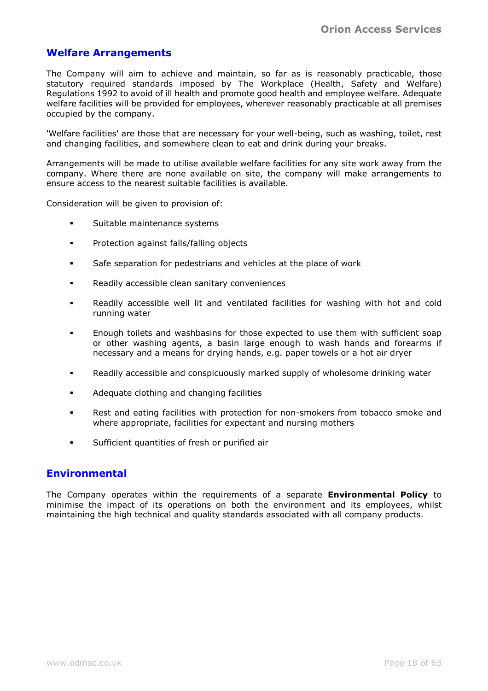### **Welfare Arrangements**

The Company will aim to achieve and maintain, so far as is reasonably practicable, those statutory required standards imposed by The Workplace (Health, Safety and Welfare) Regulations 1992 to avoid of ill health and promote good health and employee welfare. Adequate welfare facilities will be provided for employees, wherever reasonably practicable at all premises occupied by the company.

'Welfare facilities' are those that are necessary for your well-being, such as washing, toilet, rest and changing facilities, and somewhere clean to eat and drink during your breaks.

Arrangements will be made to utilise available welfare facilities for any site work away from the company. Where there are none available on site, the company will make arrangements to ensure access to the nearest suitable facilities is available.

Consideration will be given to provision of:

- **Suitable maintenance systems**
- **Protection against falls/falling objects**
- Safe separation for pedestrians and vehicles at the place of work
- **Readily accessible clean sanitary conveniences**
- Readily accessible well lit and ventilated facilities for washing with hot and cold running water
- Enough toilets and washbasins for those expected to use them with sufficient soap or other washing agents, a basin large enough to wash hands and forearms if necessary and a means for drying hands, e.g. paper towels or a hot air dryer
- Readily accessible and conspicuously marked supply of wholesome drinking water
- **Adequate clothing and changing facilities**
- Rest and eating facilities with protection for non-smokers from tobacco smoke and where appropriate, facilities for expectant and nursing mothers
- Sufficient quantities of fresh or purified air

### **Environmental**

The Company operates within the requirements of a separate **Environmental Policy** to minimise the impact of its operations on both the environment and its employees, whilst maintaining the high technical and quality standards associated with all company products.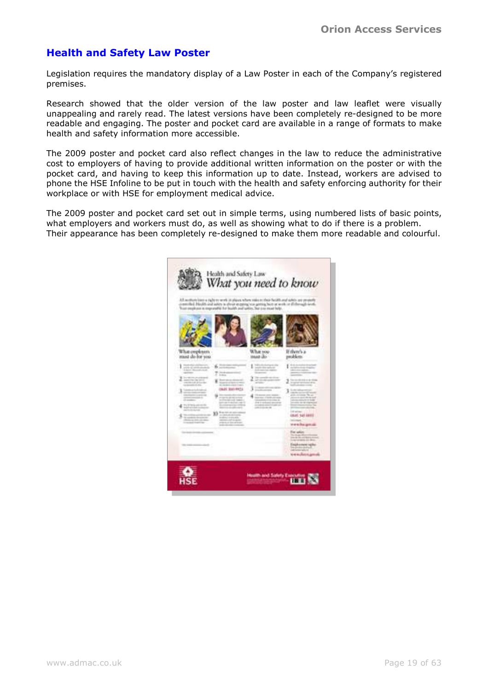### **Health and Safety Law Poster**

Legislation requires the mandatory display of a Law Poster in each of the Company's registered premises.

Research showed that the older version of the law poster and law leaflet were visually unappealing and rarely read. The latest versions have been completely re-designed to be more readable and engaging. The poster and pocket card are available in a range of formats to make health and safety information more accessible.

The 2009 poster and pocket card also reflect changes in the law to reduce the administrative cost to employers of having to provide additional written information on the poster or with the pocket card, and having to keep this information up to date. Instead, workers are advised to phone the HSE Infoline to be put in touch with the health and safety enforcing authority for their workplace or with HSE for employment medical advice.

The 2009 poster and pocket card set out in simple terms, using numbered lists of basic points, what employers and workers must do, as well as showing what to do if there is a problem. Their appearance has been completely re-designed to make them more readable and colourful.

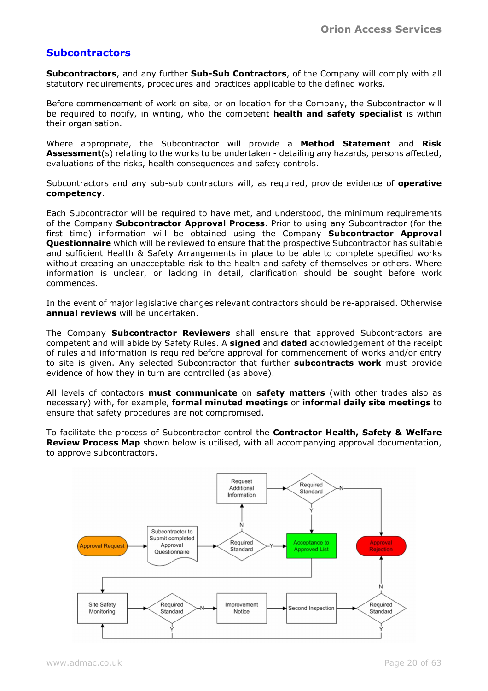### **Subcontractors**

**Subcontractors**, and any further **Sub-Sub Contractors**, of the Company will comply with all statutory requirements, procedures and practices applicable to the defined works.

Before commencement of work on site, or on location for the Company, the Subcontractor will be required to notify, in writing, who the competent **health and safety specialist** is within their organisation.

Where appropriate, the Subcontractor will provide a **Method Statement** and **Risk Assessment**(s) relating to the works to be undertaken - detailing any hazards, persons affected, evaluations of the risks, health consequences and safety controls.

Subcontractors and any sub-sub contractors will, as required, provide evidence of **operative competency**.

Each Subcontractor will be required to have met, and understood, the minimum requirements of the Company **Subcontractor Approval Process**. Prior to using any Subcontractor (for the first time) information will be obtained using the Company **Subcontractor Approval Questionnaire** which will be reviewed to ensure that the prospective Subcontractor has suitable and sufficient Health & Safety Arrangements in place to be able to complete specified works without creating an unacceptable risk to the health and safety of themselves or others. Where information is unclear, or lacking in detail, clarification should be sought before work commences.

In the event of major legislative changes relevant contractors should be re-appraised. Otherwise **annual reviews** will be undertaken.

The Company **Subcontractor Reviewers** shall ensure that approved Subcontractors are competent and will abide by Safety Rules. A **signed** and **dated** acknowledgement of the receipt of rules and information is required before approval for commencement of works and/or entry to site is given. Any selected Subcontractor that further **subcontracts work** must provide evidence of how they in turn are controlled (as above).

All levels of contactors **must communicate** on **safety matters** (with other trades also as necessary) with, for example, **formal minuted meetings** or **informal daily site meetings** to ensure that safety procedures are not compromised.

To facilitate the process of Subcontractor control the **Contractor Health, Safety & Welfare Review Process Map** shown below is utilised, with all accompanying approval documentation, to approve subcontractors.

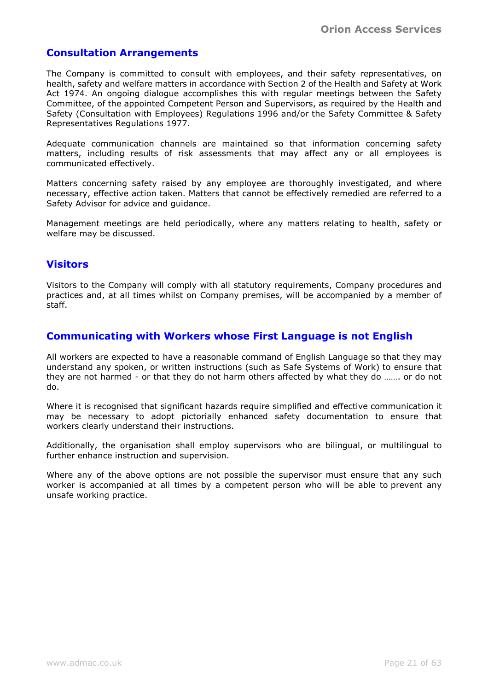### **Consultation Arrangements**

The Company is committed to consult with employees, and their safety representatives, on health, safety and welfare matters in accordance with Section 2 of the Health and Safety at Work Act 1974. An ongoing dialogue accomplishes this with regular meetings between the Safety Committee, of the appointed Competent Person and Supervisors, as required by the Health and Safety (Consultation with Employees) Regulations 1996 and/or the Safety Committee & Safety Representatives Regulations 1977.

Adequate communication channels are maintained so that information concerning safety matters, including results of risk assessments that may affect any or all employees is communicated effectively.

Matters concerning safety raised by any employee are thoroughly investigated, and where necessary, effective action taken. Matters that cannot be effectively remedied are referred to a Safety Advisor for advice and guidance.

Management meetings are held periodically, where any matters relating to health, safety or welfare may be discussed.

### **Visitors**

Visitors to the Company will comply with all statutory requirements, Company procedures and practices and, at all times whilst on Company premises, will be accompanied by a member of staff.

### **Communicating with Workers whose First Language is not English**

All workers are expected to have a reasonable command of English Language so that they may understand any spoken, or written instructions (such as Safe Systems of Work) to ensure that they are not harmed - or that they do not harm others affected by what they do ……. or do not do.

Where it is recognised that significant hazards require simplified and effective communication it may be necessary to adopt pictorially enhanced safety documentation to ensure that workers clearly understand their instructions.

Additionally, the organisation shall employ supervisors who are bilingual, or multilingual to further enhance instruction and supervision.

Where any of the above options are not possible the supervisor must ensure that any such worker is accompanied at all times by a competent person who will be able to prevent any unsafe working practice.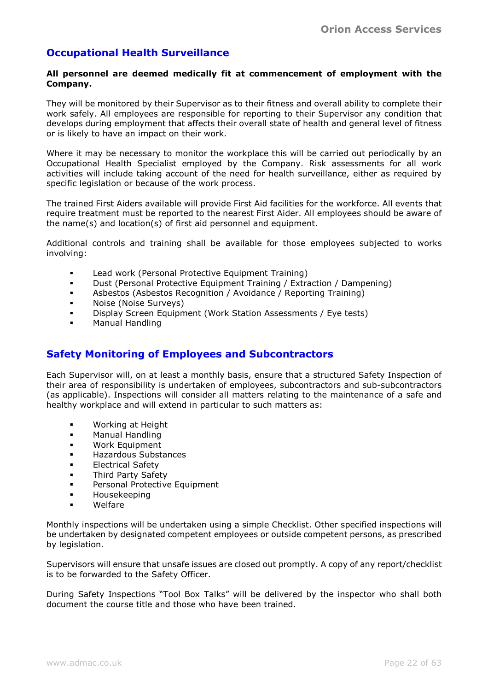### **Occupational Health Surveillance**

#### **All personnel are deemed medically fit at commencement of employment with the Company.**

They will be monitored by their Supervisor as to their fitness and overall ability to complete their work safely. All employees are responsible for reporting to their Supervisor any condition that develops during employment that affects their overall state of health and general level of fitness or is likely to have an impact on their work.

Where it may be necessary to monitor the workplace this will be carried out periodically by an Occupational Health Specialist employed by the Company. Risk assessments for all work activities will include taking account of the need for health surveillance, either as required by specific legislation or because of the work process.

The trained First Aiders available will provide First Aid facilities for the workforce. All events that require treatment must be reported to the nearest First Aider. All employees should be aware of the name(s) and location(s) of first aid personnel and equipment.

Additional controls and training shall be available for those employees subjected to works involving:

- **Lead work (Personal Protective Equipment Training)**
- Dust (Personal Protective Equipment Training / Extraction / Dampening)
- Asbestos (Asbestos Recognition / Avoidance / Reporting Training)
- **Noise (Noise Surveys)**
- Display Screen Equipment (Work Station Assessments / Eye tests)
- **Manual Handling**

### **Safety Monitoring of Employees and Subcontractors**

Each Supervisor will, on at least a monthly basis, ensure that a structured Safety Inspection of their area of responsibility is undertaken of employees, subcontractors and sub-subcontractors (as applicable). Inspections will consider all matters relating to the maintenance of a safe and healthy workplace and will extend in particular to such matters as:

- **Working at Height**
- **Manual Handling**
- Work Equipment
- Hazardous Substances
- **Electrical Safety**
- Third Party Safety
- **Personal Protective Equipment**
- **Housekeeping**
- Welfare

Monthly inspections will be undertaken using a simple Checklist. Other specified inspections will be undertaken by designated competent employees or outside competent persons, as prescribed by legislation.

Supervisors will ensure that unsafe issues are closed out promptly. A copy of any report/checklist is to be forwarded to the Safety Officer.

During Safety Inspections "Tool Box Talks" will be delivered by the inspector who shall both document the course title and those who have been trained.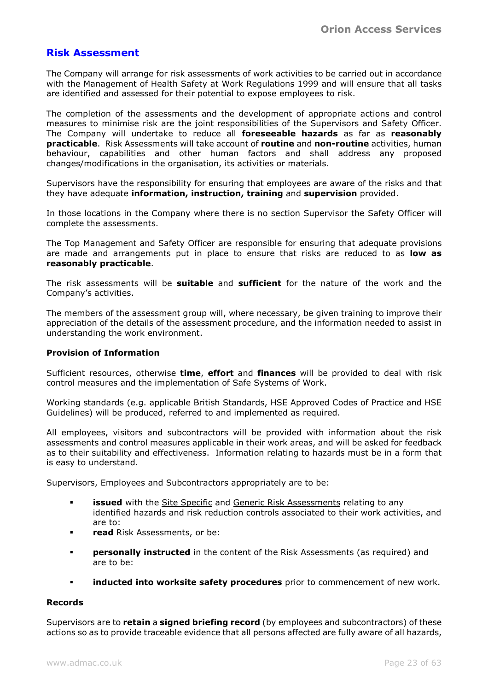### **Risk Assessment**

The Company will arrange for risk assessments of work activities to be carried out in accordance with the Management of Health Safety at Work Regulations 1999 and will ensure that all tasks are identified and assessed for their potential to expose employees to risk.

The completion of the assessments and the development of appropriate actions and control measures to minimise risk are the joint responsibilities of the Supervisors and Safety Officer. The Company will undertake to reduce all **foreseeable hazards** as far as **reasonably practicable**. Risk Assessments will take account of **routine** and **non-routine** activities, human behaviour, capabilities and other human factors and shall address any proposed changes/modifications in the organisation, its activities or materials.

Supervisors have the responsibility for ensuring that employees are aware of the risks and that they have adequate **information, instruction, training** and **supervision** provided.

In those locations in the Company where there is no section Supervisor the Safety Officer will complete the assessments.

The Top Management and Safety Officer are responsible for ensuring that adequate provisions are made and arrangements put in place to ensure that risks are reduced to as **low as reasonably practicable**.

The risk assessments will be **suitable** and **sufficient** for the nature of the work and the Company's activities.

The members of the assessment group will, where necessary, be given training to improve their appreciation of the details of the assessment procedure, and the information needed to assist in understanding the work environment.

#### **Provision of Information**

Sufficient resources, otherwise **time**, **effort** and **finances** will be provided to deal with risk control measures and the implementation of Safe Systems of Work.

Working standards (e.g. applicable British Standards, HSE Approved Codes of Practice and HSE Guidelines) will be produced, referred to and implemented as required.

All employees, visitors and subcontractors will be provided with information about the risk assessments and control measures applicable in their work areas, and will be asked for feedback as to their suitability and effectiveness. Information relating to hazards must be in a form that is easy to understand.

Supervisors, Employees and Subcontractors appropriately are to be:

- **issued** with the **Site Specific and Generic Risk Assessments** relating to any identified hazards and risk reduction controls associated to their work activities, and are to:
- **read** Risk Assessments, or be:
- **personally instructed** in the content of the Risk Assessments (as required) and are to be:
- **inducted into worksite safety procedures** prior to commencement of new work.

#### **Records**

Supervisors are to **retain** a **signed briefing record** (by employees and subcontractors) of these actions so as to provide traceable evidence that all persons affected are fully aware of all hazards,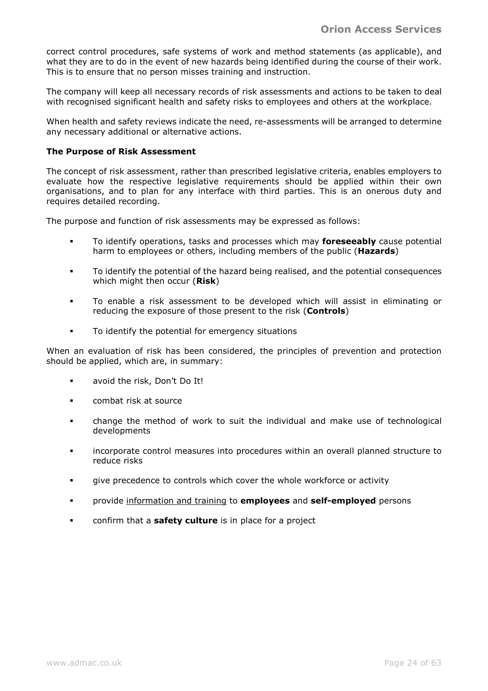correct control procedures, safe systems of work and method statements (as applicable), and what they are to do in the event of new hazards being identified during the course of their work. This is to ensure that no person misses training and instruction.

The company will keep all necessary records of risk assessments and actions to be taken to deal with recognised significant health and safety risks to employees and others at the workplace.

When health and safety reviews indicate the need, re-assessments will be arranged to determine any necessary additional or alternative actions.

### **The Purpose of Risk Assessment**

The concept of risk assessment, rather than prescribed legislative criteria, enables employers to evaluate how the respective legislative requirements should be applied within their own organisations, and to plan for any interface with third parties. This is an onerous duty and requires detailed recording.

The purpose and function of risk assessments may be expressed as follows:

- To identify operations, tasks and processes which may **foreseeably** cause potential harm to employees or others, including members of the public (**Hazards**)
- To identify the potential of the hazard being realised, and the potential consequences which might then occur (**Risk**)
- To enable a risk assessment to be developed which will assist in eliminating or reducing the exposure of those present to the risk (**Controls**)
- To identify the potential for emergency situations

When an evaluation of risk has been considered, the principles of prevention and protection should be applied, which are, in summary:

- avoid the risk, Don't Do It!
- combat risk at source
- change the method of work to suit the individual and make use of technological developments
- incorporate control measures into procedures within an overall planned structure to reduce risks
- give precedence to controls which cover the whole workforce or activity
- provide information and training to **employees** and **self-employed** persons
- confirm that a **safety culture** is in place for a project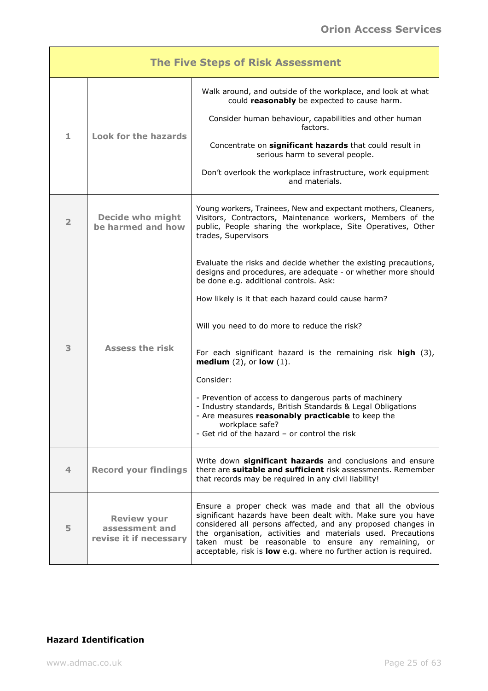| <b>The Five Steps of Risk Assessment</b> |                                                                |                                                                                                                                                                                                                                                                                                                                                                                                                                                                                                                                                                                                                                                     |  |  |
|------------------------------------------|----------------------------------------------------------------|-----------------------------------------------------------------------------------------------------------------------------------------------------------------------------------------------------------------------------------------------------------------------------------------------------------------------------------------------------------------------------------------------------------------------------------------------------------------------------------------------------------------------------------------------------------------------------------------------------------------------------------------------------|--|--|
| 1                                        | <b>Look for the hazards</b>                                    | Walk around, and outside of the workplace, and look at what<br>could reasonably be expected to cause harm.<br>Consider human behaviour, capabilities and other human<br>factors.<br>Concentrate on significant hazards that could result in<br>serious harm to several people.<br>Don't overlook the workplace infrastructure, work equipment<br>and materials.                                                                                                                                                                                                                                                                                     |  |  |
| $\overline{2}$                           | <b>Decide who might</b><br>be harmed and how                   | Young workers, Trainees, New and expectant mothers, Cleaners,<br>Visitors, Contractors, Maintenance workers, Members of the<br>public, People sharing the workplace, Site Operatives, Other<br>trades, Supervisors                                                                                                                                                                                                                                                                                                                                                                                                                                  |  |  |
| 3                                        | <b>Assess the risk</b>                                         | Evaluate the risks and decide whether the existing precautions,<br>designs and procedures, are adequate - or whether more should<br>be done e.g. additional controls. Ask:<br>How likely is it that each hazard could cause harm?<br>Will you need to do more to reduce the risk?<br>For each significant hazard is the remaining risk high $(3)$ ,<br>medium $(2)$ , or low $(1)$ .<br>Consider:<br>- Prevention of access to dangerous parts of machinery<br>- Industry standards, British Standards & Legal Obligations<br>- Are measures reasonably practicable to keep the<br>workplace safe?<br>- Get rid of the hazard - or control the risk |  |  |
| 4                                        | <b>Record your findings</b>                                    | Write down significant hazards and conclusions and ensure<br>there are suitable and sufficient risk assessments. Remember<br>that records may be required in any civil liability!                                                                                                                                                                                                                                                                                                                                                                                                                                                                   |  |  |
| 5                                        | <b>Review your</b><br>assessment and<br>revise it if necessary | Ensure a proper check was made and that all the obvious<br>significant hazards have been dealt with. Make sure you have<br>considered all persons affected, and any proposed changes in<br>the organisation, activities and materials used. Precautions<br>taken must be reasonable to ensure any remaining, or<br>acceptable, risk is low e.g. where no further action is required.                                                                                                                                                                                                                                                                |  |  |

### **Hazard Identification**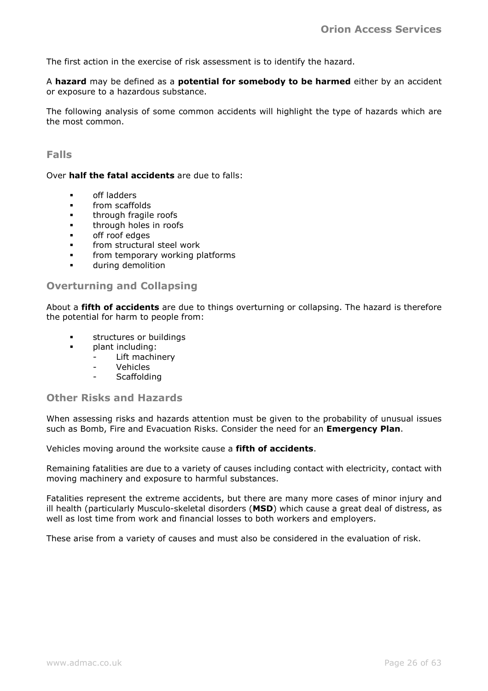The first action in the exercise of risk assessment is to identify the hazard.

A **hazard** may be defined as a **potential for somebody to be harmed** either by an accident or exposure to a hazardous substance.

The following analysis of some common accidents will highlight the type of hazards which are the most common.

### **Falls**

Over **half the fatal accidents** are due to falls:

- **n** off ladders
- from scaffolds
- **through fragile roofs**
- **through holes in roofs**
- off roof edges
- from structural steel work
- **Fig.** from temporary working platforms
- during demolition

#### **Overturning and Collapsing**

About a **fifth of accidents** are due to things overturning or collapsing. The hazard is therefore the potential for harm to people from:

- structures or buildings
- **Propert** including:
	- Lift machinery
	- Vehicles
	- **Scaffolding**

#### **Other Risks and Hazards**

When assessing risks and hazards attention must be given to the probability of unusual issues such as Bomb, Fire and Evacuation Risks. Consider the need for an **Emergency Plan**.

Vehicles moving around the worksite cause a **fifth of accidents**.

Remaining fatalities are due to a variety of causes including contact with electricity, contact with moving machinery and exposure to harmful substances.

Fatalities represent the extreme accidents, but there are many more cases of minor injury and ill health (particularly Musculo-skeletal disorders (**MSD**) which cause a great deal of distress, as well as lost time from work and financial losses to both workers and employers.

These arise from a variety of causes and must also be considered in the evaluation of risk.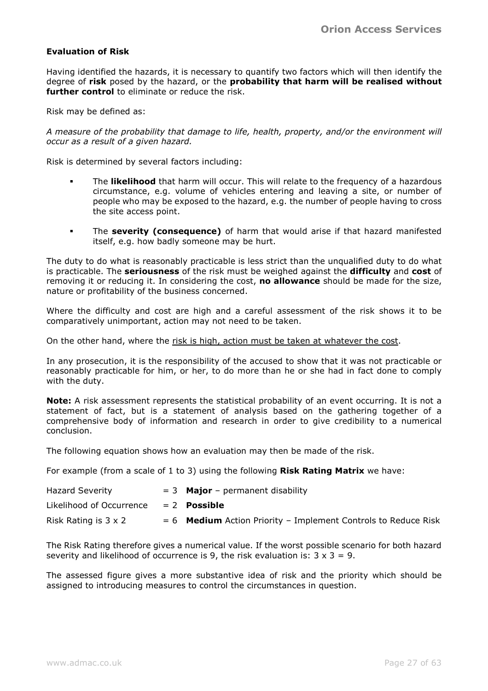### **Evaluation of Risk**

Having identified the hazards, it is necessary to quantify two factors which will then identify the degree of **risk** posed by the hazard, or the **probability that harm will be realised without further control** to eliminate or reduce the risk.

Risk may be defined as:

*A measure of the probability that damage to life, health, property, and/or the environment will occur as a result of a given hazard.* 

Risk is determined by several factors including:

- The **likelihood** that harm will occur. This will relate to the frequency of a hazardous circumstance, e.g. volume of vehicles entering and leaving a site, or number of people who may be exposed to the hazard, e.g. the number of people having to cross the site access point.
- The **severity (consequence)** of harm that would arise if that hazard manifested itself, e.g. how badly someone may be hurt.

The duty to do what is reasonably practicable is less strict than the unqualified duty to do what is practicable. The **seriousness** of the risk must be weighed against the **difficulty** and **cost** of removing it or reducing it. In considering the cost, **no allowance** should be made for the size, nature or profitability of the business concerned.

Where the difficulty and cost are high and a careful assessment of the risk shows it to be comparatively unimportant, action may not need to be taken.

On the other hand, where the risk is high, action must be taken at whatever the cost.

In any prosecution, it is the responsibility of the accused to show that it was not practicable or reasonably practicable for him, or her, to do more than he or she had in fact done to comply with the duty.

**Note:** A risk assessment represents the statistical probability of an event occurring. It is not a statement of fact, but is a statement of analysis based on the gathering together of a comprehensive body of information and research in order to give credibility to a numerical conclusion.

The following equation shows how an evaluation may then be made of the risk.

For example (from a scale of 1 to 3) using the following **Risk Rating Matrix** we have:

| <b>Hazard Severity</b>                         | $= 3$ <b>Major</b> – permanent disability                               |
|------------------------------------------------|-------------------------------------------------------------------------|
| Likelihood of Occurrence $= 2$ <b>Possible</b> |                                                                         |
| Risk Rating is $3 \times 2$                    | $= 6$ <b>Medium</b> Action Priority – Implement Controls to Reduce Risk |

The Risk Rating therefore gives a numerical value. If the worst possible scenario for both hazard severity and likelihood of occurrence is 9, the risk evaluation is:  $3 \times 3 = 9$ .

The assessed figure gives a more substantive idea of risk and the priority which should be assigned to introducing measures to control the circumstances in question.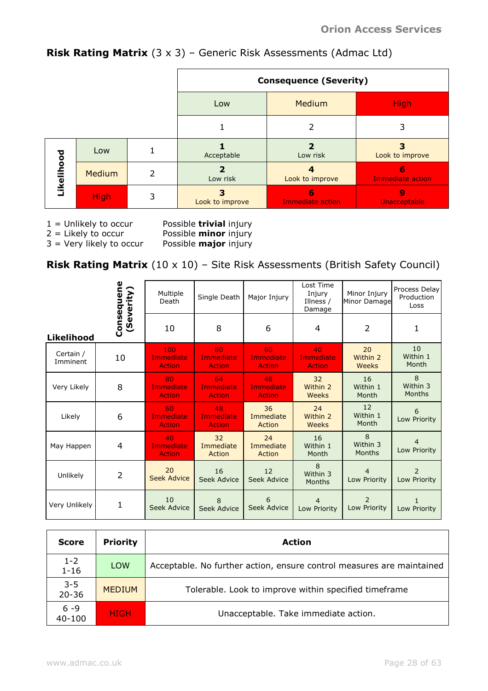### **Risk Rating Matrix** (3 x 3) – Generic Risk Assessments (Admac Ltd)

|            |               |   | <b>Consequence (Severity)</b> |                              |                              |  |
|------------|---------------|---|-------------------------------|------------------------------|------------------------------|--|
|            |               |   | Low                           | <b>Medium</b>                | <b>High</b>                  |  |
|            |               |   |                               | 2                            | 3                            |  |
|            | Low           |   | Acceptable                    | 2<br>Low risk                | Look to improve              |  |
| Likelihood | <b>Medium</b> | 2 | 7<br>Low risk                 | Look to improve              | 6<br><b>Immediate action</b> |  |
|            | <b>High</b>   | 3 | 3<br>Look to improve          | 6<br><b>Immediate action</b> | 9<br><b>Unacceptable</b>     |  |

 $3 = \text{Very}$  likely to occur

1 = Unlikely to occur<br>2 = Likely to occur<br>Possible **minor** injury Possible **minor** injury<br>Possible **major** injury

### **Risk Rating Matrix** (10 x 10) - Site Risk Assessments (British Safety Council)

|                       | Consequen<br>(Severity) | Multiple<br>Death                        | Single Death                            | Major Injury                            | Lost Time<br>Injury<br>Illness /<br>Damage | Minor Injury<br>Minor Damage              | Process Delay<br>Production<br>Loss |
|-----------------------|-------------------------|------------------------------------------|-----------------------------------------|-----------------------------------------|--------------------------------------------|-------------------------------------------|-------------------------------------|
| Likelihood            |                         | 10                                       | 8                                       | 6                                       | 4                                          | 2                                         | 1                                   |
| Certain /<br>Imminent | 10                      | 100<br><b>Immediate</b><br><b>Action</b> | 80<br><b>Immediate</b><br><b>Action</b> | 60<br><b>Immediate</b><br><b>Action</b> | 40<br><b>Immediate</b><br><b>Action</b>    | 20<br>Within 2<br>Weeks                   | 10<br>Within 1<br>Month             |
| Very Likely           | 8                       | 80<br><b>Immediate</b><br><b>Action</b>  | 64<br><b>Immediate</b><br><b>Action</b> | 48<br><b>Immediate</b><br><b>Action</b> | 32<br>Within 2<br>Weeks                    | 16<br>Within 1<br>Month                   | 8<br>Within 3<br><b>Months</b>      |
| Likely                | 6                       | 60<br><b>Immediate</b><br><b>Action</b>  | 48<br><b>Immediate</b><br><b>Action</b> | 36<br>Immediate<br>Action               | 24<br>Within 2<br>Weeks                    | 12<br>Within 1<br>Month                   | 6<br>Low Priority                   |
| May Happen            | 4                       | 40<br><b>Immediate</b><br><b>Action</b>  | 32<br>Immediate<br><b>Action</b>        | 24<br>Immediate<br>Action               | 16<br>Within 1<br>Month                    | $\mathbf{8}$<br>Within 3<br><b>Months</b> | $\overline{4}$<br>Low Priority      |
| Unlikely              | $\overline{2}$          | 20<br><b>Seek Advice</b>                 | 16<br>Seek Advice                       | 12<br>Seek Advice                       | 8<br>Within 3<br><b>Months</b>             | $\overline{4}$<br>Low Priority            | $\overline{2}$<br>Low Priority      |
| Very Unlikely         | 1                       | 10<br>Seek Advice                        | 8<br>Seek Advice                        | 6<br>Seek Advice                        | $\overline{4}$<br>Low Priority             | $\overline{2}$<br>Low Priority            | Low Priority                        |

| <b>Score</b>         | <b>Priority</b> | <b>Action</b>                                                         |
|----------------------|-----------------|-----------------------------------------------------------------------|
| $1 - 2$<br>$1 - 16$  | <b>LOW</b>      | Acceptable. No further action, ensure control measures are maintained |
| $3 - 5$<br>$20 - 36$ | <b>MEDIUM</b>   | Tolerable. Look to improve within specified timeframe                 |
| $6 - 9$<br>40-100    | <b>HIGH</b>     | Unacceptable. Take immediate action.                                  |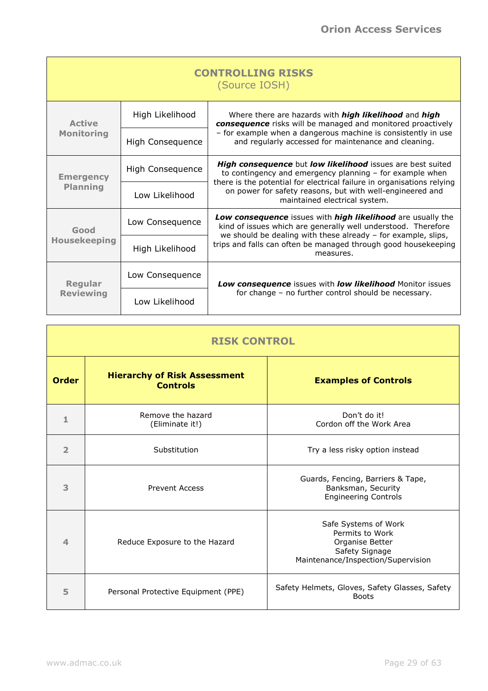| <b>CONTROLLING RISKS</b><br>(Source IOSH) |                  |                                                                                                                                                                                               |  |  |
|-------------------------------------------|------------------|-----------------------------------------------------------------------------------------------------------------------------------------------------------------------------------------------|--|--|
| <b>Active</b><br><b>Monitoring</b>        | High Likelihood  | Where there are hazards with <i>high likelihood</i> and <i>high</i><br>consequence risks will be managed and monitored proactively                                                            |  |  |
|                                           | High Consequence | - for example when a dangerous machine is consistently in use<br>and regularly accessed for maintenance and cleaning.                                                                         |  |  |
| <b>Emergency</b><br><b>Planning</b>       | High Consequence | High consequence but low likelihood issues are best suited<br>to contingency and emergency planning $-$ for example when                                                                      |  |  |
|                                           | Low Likelihood   | there is the potential for electrical failure in organisations relying<br>on power for safety reasons, but with well-engineered and<br>maintained electrical system.                          |  |  |
| Good<br><b>Housekeeping</b>               | Low Consequence  | Low consequence issues with high likelihood are usually the<br>kind of issues which are generally well understood. Therefore<br>we should be dealing with these already - for example, slips, |  |  |
|                                           | High Likelihood  | trips and falls can often be managed through good housekeeping<br>measures.                                                                                                                   |  |  |
| Regular<br><b>Reviewing</b>               | Low Consequence  | Low consequence issues with low likelihood Monitor issues                                                                                                                                     |  |  |
|                                           | Low Likelihood   | for change - no further control should be necessary.                                                                                                                                          |  |  |

| <b>RISK CONTROL</b> |                                                        |                                                                                                                    |  |
|---------------------|--------------------------------------------------------|--------------------------------------------------------------------------------------------------------------------|--|
| <b>Order</b>        | <b>Hierarchy of Risk Assessment</b><br><b>Controls</b> | <b>Examples of Controls</b>                                                                                        |  |
| 1                   | Remove the hazard<br>(Eliminate it!)                   | Don't do it!<br>Cordon off the Work Area                                                                           |  |
| $\overline{2}$      | Substitution                                           | Try a less risky option instead                                                                                    |  |
| 3                   | <b>Prevent Access</b>                                  | Guards, Fencing, Barriers & Tape,<br>Banksman, Security<br><b>Engineering Controls</b>                             |  |
| ◢                   | Reduce Exposure to the Hazard                          | Safe Systems of Work<br>Permits to Work<br>Organise Better<br>Safety Signage<br>Maintenance/Inspection/Supervision |  |
| 5                   | Personal Protective Equipment (PPE)                    | Safety Helmets, Gloves, Safety Glasses, Safety<br><b>Boots</b>                                                     |  |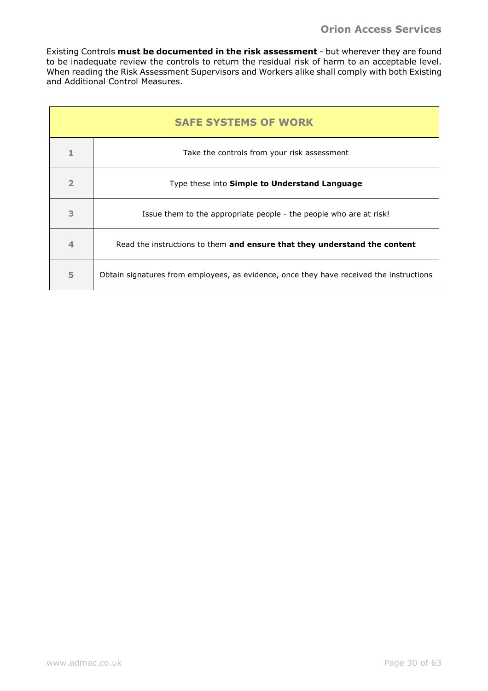Existing Controls **must be documented in the risk assessment** - but wherever they are found to be inadequate review the controls to return the residual risk of harm to an acceptable level. When reading the Risk Assessment Supervisors and Workers alike shall comply with both Existing and Additional Control Measures.

|                | <b>SAFE SYSTEMS OF WORK</b>                                                             |
|----------------|-----------------------------------------------------------------------------------------|
|                | Take the controls from your risk assessment                                             |
| $\overline{2}$ | Type these into Simple to Understand Language                                           |
| 3              | Issue them to the appropriate people - the people who are at risk!                      |
| 4              | Read the instructions to them and ensure that they understand the content               |
| 5              | Obtain signatures from employees, as evidence, once they have received the instructions |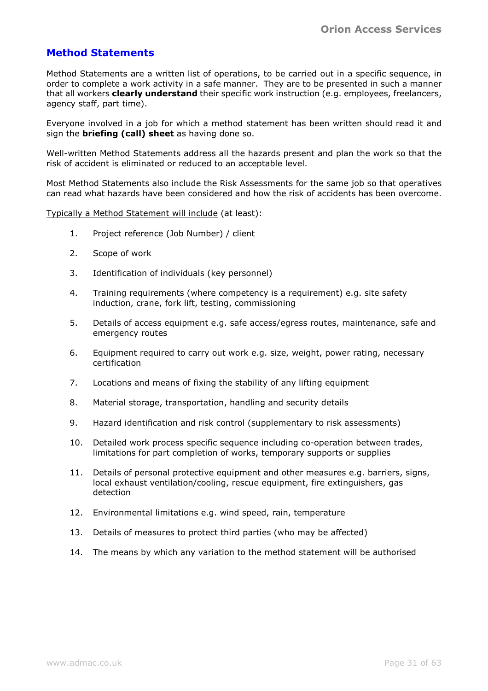### **Method Statements**

Method Statements are a written list of operations, to be carried out in a specific sequence, in order to complete a work activity in a safe manner. They are to be presented in such a manner that all workers **clearly understand** their specific work instruction (e.g. employees, freelancers, agency staff, part time).

Everyone involved in a job for which a method statement has been written should read it and sign the **briefing (call) sheet** as having done so.

Well-written Method Statements address all the hazards present and plan the work so that the risk of accident is eliminated or reduced to an acceptable level.

Most Method Statements also include the Risk Assessments for the same job so that operatives can read what hazards have been considered and how the risk of accidents has been overcome.

Typically a Method Statement will include (at least):

- 1. Project reference (Job Number) / client
- 2. Scope of work
- 3. Identification of individuals (key personnel)
- 4. Training requirements (where competency is a requirement) e.g. site safety induction, crane, fork lift, testing, commissioning
- 5. Details of access equipment e.g. safe access/egress routes, maintenance, safe and emergency routes
- 6. Equipment required to carry out work e.g. size, weight, power rating, necessary certification
- 7. Locations and means of fixing the stability of any lifting equipment
- 8. Material storage, transportation, handling and security details
- 9. Hazard identification and risk control (supplementary to risk assessments)
- 10. Detailed work process specific sequence including co-operation between trades, limitations for part completion of works, temporary supports or supplies
- 11. Details of personal protective equipment and other measures e.g. barriers, signs, local exhaust ventilation/cooling, rescue equipment, fire extinguishers, gas detection
- 12. Environmental limitations e.g. wind speed, rain, temperature
- 13. Details of measures to protect third parties (who may be affected)
- 14. The means by which any variation to the method statement will be authorised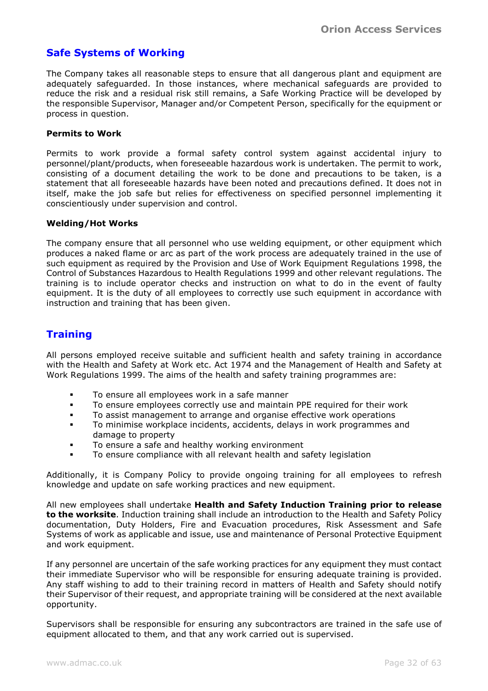### **Safe Systems of Working**

The Company takes all reasonable steps to ensure that all dangerous plant and equipment are adequately safeguarded. In those instances, where mechanical safeguards are provided to reduce the risk and a residual risk still remains, a Safe Working Practice will be developed by the responsible Supervisor, Manager and/or Competent Person, specifically for the equipment or process in question.

#### **Permits to Work**

Permits to work provide a formal safety control system against accidental injury to personnel/plant/products, when foreseeable hazardous work is undertaken. The permit to work, consisting of a document detailing the work to be done and precautions to be taken, is a statement that all foreseeable hazards have been noted and precautions defined. It does not in itself, make the job safe but relies for effectiveness on specified personnel implementing it conscientiously under supervision and control.

#### **Welding/Hot Works**

The company ensure that all personnel who use welding equipment, or other equipment which produces a naked flame or arc as part of the work process are adequately trained in the use of such equipment as required by the Provision and Use of Work Equipment Regulations 1998, the Control of Substances Hazardous to Health Regulations 1999 and other relevant regulations. The training is to include operator checks and instruction on what to do in the event of faulty equipment. It is the duty of all employees to correctly use such equipment in accordance with instruction and training that has been given.

### **Training**

All persons employed receive suitable and sufficient health and safety training in accordance with the Health and Safety at Work etc. Act 1974 and the Management of Health and Safety at Work Regulations 1999. The aims of the health and safety training programmes are:

- **To ensure all employees work in a safe manner**
- To ensure employees correctly use and maintain PPE required for their work
- To assist management to arrange and organise effective work operations
- To minimise workplace incidents, accidents, delays in work programmes and damage to property
- To ensure a safe and healthy working environment
- To ensure compliance with all relevant health and safety legislation

Additionally, it is Company Policy to provide ongoing training for all employees to refresh knowledge and update on safe working practices and new equipment.

All new employees shall undertake **Health and Safety Induction Training prior to release to the worksite**. Induction training shall include an introduction to the Health and Safety Policy documentation, Duty Holders, Fire and Evacuation procedures, Risk Assessment and Safe Systems of work as applicable and issue, use and maintenance of Personal Protective Equipment and work equipment.

If any personnel are uncertain of the safe working practices for any equipment they must contact their immediate Supervisor who will be responsible for ensuring adequate training is provided. Any staff wishing to add to their training record in matters of Health and Safety should notify their Supervisor of their request, and appropriate training will be considered at the next available opportunity.

Supervisors shall be responsible for ensuring any subcontractors are trained in the safe use of equipment allocated to them, and that any work carried out is supervised.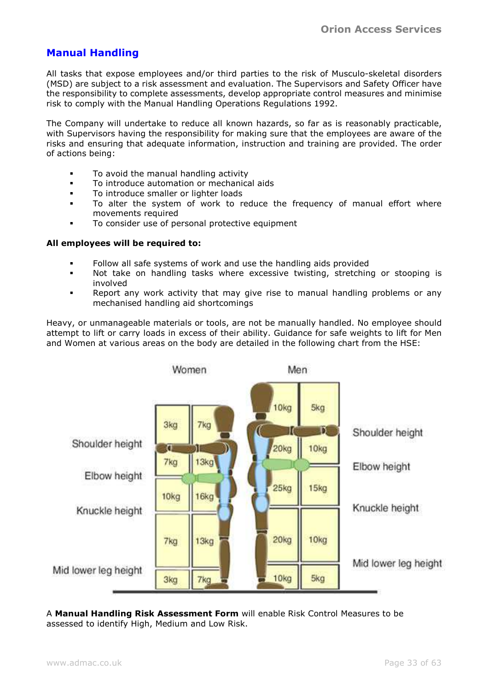### **Manual Handling**

All tasks that expose employees and/or third parties to the risk of Musculo-skeletal disorders (MSD) are subject to a risk assessment and evaluation. The Supervisors and Safety Officer have the responsibility to complete assessments, develop appropriate control measures and minimise risk to comply with the Manual Handling Operations Regulations 1992.

The Company will undertake to reduce all known hazards, so far as is reasonably practicable, with Supervisors having the responsibility for making sure that the employees are aware of the risks and ensuring that adequate information, instruction and training are provided. The order of actions being:

- **To avoid the manual handling activity**
- **To introduce automation or mechanical aids**
- **To introduce smaller or lighter loads**
- To alter the system of work to reduce the frequency of manual effort where movements required
- To consider use of personal protective equipment

### **All employees will be required to:**

- **Follow all safe systems of work and use the handling aids provided**
- Not take on handling tasks where excessive twisting, stretching or stooping is involved
- Report any work activity that may give rise to manual handling problems or any mechanised handling aid shortcomings

Heavy, or unmanageable materials or tools, are not be manually handled. No employee should attempt to lift or carry loads in excess of their ability. Guidance for safe weights to lift for Men and Women at various areas on the body are detailed in the following chart from the HSE:



A **Manual Handling Risk Assessment Form** will enable Risk Control Measures to be assessed to identify High, Medium and Low Risk.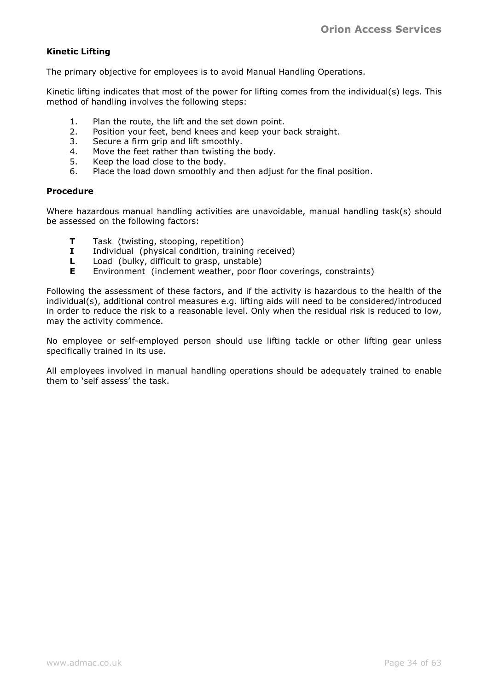### **Kinetic Lifting**

The primary objective for employees is to avoid Manual Handling Operations.

Kinetic lifting indicates that most of the power for lifting comes from the individual(s) legs. This method of handling involves the following steps:

- 1. Plan the route, the lift and the set down point.
- 2. Position your feet, bend knees and keep your back straight.
- 3. Secure a firm grip and lift smoothly.
- 4. Move the feet rather than twisting the body.
- 5. Keep the load close to the body.
- 6. Place the load down smoothly and then adjust for the final position.

#### **Procedure**

Where hazardous manual handling activities are unavoidable, manual handling task(s) should be assessed on the following factors:

- **T** Task (twisting, stooping, repetition)
- **I** Individual (physical condition, training received)
- **L** Load (bulky, difficult to grasp, unstable)
- **E** Environment (inclement weather, poor floor coverings, constraints)

Following the assessment of these factors, and if the activity is hazardous to the health of the individual(s), additional control measures e.g. lifting aids will need to be considered/introduced in order to reduce the risk to a reasonable level. Only when the residual risk is reduced to low, may the activity commence.

No employee or self-employed person should use lifting tackle or other lifting gear unless specifically trained in its use.

All employees involved in manual handling operations should be adequately trained to enable them to 'self assess' the task.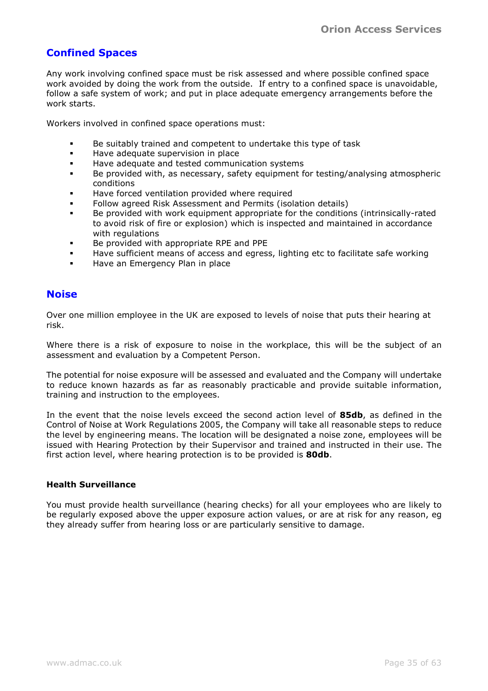### **Confined Spaces**

Any work involving confined space must be risk assessed and where possible confined space work avoided by doing the work from the outside. If entry to a confined space is unavoidable, follow a safe system of work; and put in place adequate emergency arrangements before the work starts.

Workers involved in confined space operations must:

- Be suitably trained and competent to undertake this type of task
- **Have adequate supervision in place**
- Have adequate and tested communication systems
- Be provided with, as necessary, safety equipment for testing/analysing atmospheric conditions
- Have forced ventilation provided where required
- Follow agreed Risk Assessment and Permits (isolation details)
- Be provided with work equipment appropriate for the conditions (intrinsically-rated to avoid risk of fire or explosion) which is inspected and maintained in accordance with regulations
- Be provided with appropriate RPE and PPE
- Have sufficient means of access and egress, lighting etc to facilitate safe working
- **Have an Emergency Plan in place**

### **Noise**

Over one million employee in the UK are exposed to levels of noise that puts their hearing at risk.

Where there is a risk of exposure to noise in the workplace, this will be the subject of an assessment and evaluation by a Competent Person.

The potential for noise exposure will be assessed and evaluated and the Company will undertake to reduce known hazards as far as reasonably practicable and provide suitable information, training and instruction to the employees.

In the event that the noise levels exceed the second action level of **85db**, as defined in the Control of Noise at Work Regulations 2005, the Company will take all reasonable steps to reduce the level by engineering means. The location will be designated a noise zone, employees will be issued with Hearing Protection by their Supervisor and trained and instructed in their use. The first action level, where hearing protection is to be provided is **80db**.

#### **Health Surveillance**

You must provide health surveillance (hearing checks) for all your employees who are likely to be regularly exposed above the upper exposure action values, or are at risk for any reason, eg they already suffer from hearing loss or are particularly sensitive to damage.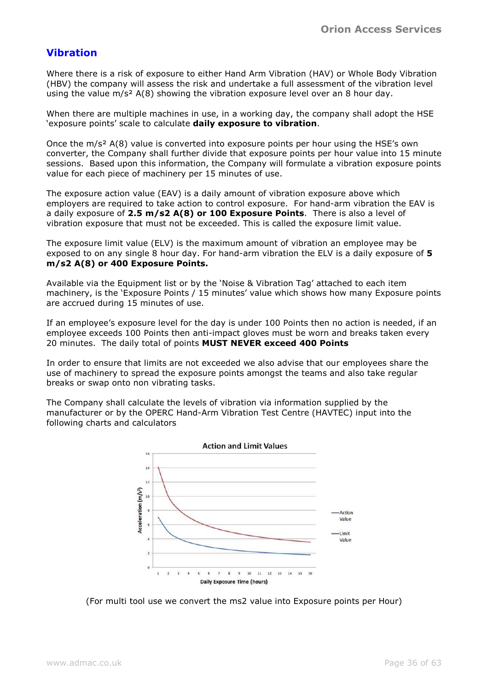### **Vibration**

Where there is a risk of exposure to either Hand Arm Vibration (HAV) or Whole Body Vibration (HBV) the company will assess the risk and undertake a full assessment of the vibration level using the value m/s<sup>2</sup> A(8) showing the vibration exposure level over an 8 hour day.

When there are multiple machines in use, in a working day, the company shall adopt the HSE 'exposure points' scale to calculate **daily exposure to vibration**.

Once the m/s² A(8) value is converted into exposure points per hour using the HSE's own converter, the Company shall further divide that exposure points per hour value into 15 minute sessions. Based upon this information, the Company will formulate a vibration exposure points value for each piece of machinery per 15 minutes of use.

The exposure action value (EAV) is a daily amount of vibration exposure above which employers are required to take action to control exposure. For hand-arm vibration the EAV is a daily exposure of **2.5 m/s2 A(8) or 100 Exposure Points**. There is also a level of vibration exposure that must not be exceeded. This is called the exposure limit value.

The exposure limit value (ELV) is the maximum amount of vibration an employee may be exposed to on any single 8 hour day. For hand-arm vibration the ELV is a daily exposure of **5 m/s2 A(8) or 400 Exposure Points.** 

Available via the Equipment list or by the 'Noise & Vibration Tag' attached to each item machinery, is the 'Exposure Points / 15 minutes' value which shows how many Exposure points are accrued during 15 minutes of use.

If an employee's exposure level for the day is under 100 Points then no action is needed, if an employee exceeds 100 Points then anti-impact gloves must be worn and breaks taken every 20 minutes. The daily total of points **MUST NEVER exceed 400 Points**

In order to ensure that limits are not exceeded we also advise that our employees share the use of machinery to spread the exposure points amongst the teams and also take regular breaks or swap onto non vibrating tasks.

The Company shall calculate the levels of vibration via information supplied by the manufacturer or by the OPERC Hand-Arm Vibration Test Centre (HAVTEC) input into the following charts and calculators



(For multi tool use we convert the ms2 value into Exposure points per Hour)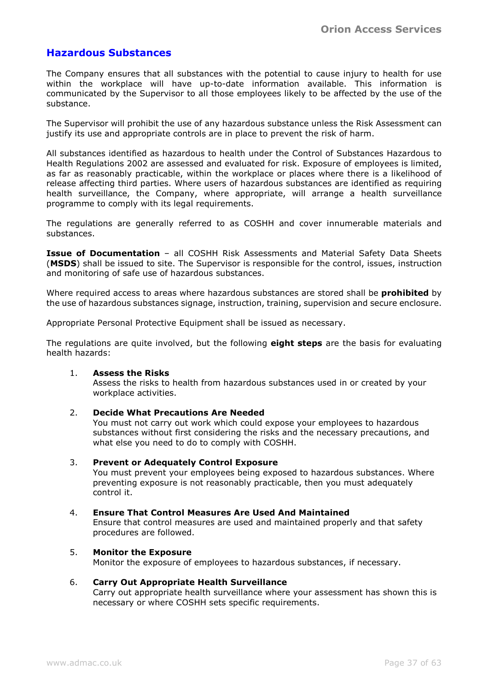### **Hazardous Substances**

The Company ensures that all substances with the potential to cause injury to health for use within the workplace will have up-to-date information available. This information is communicated by the Supervisor to all those employees likely to be affected by the use of the substance.

The Supervisor will prohibit the use of any hazardous substance unless the Risk Assessment can justify its use and appropriate controls are in place to prevent the risk of harm.

All substances identified as hazardous to health under the Control of Substances Hazardous to Health Regulations 2002 are assessed and evaluated for risk. Exposure of employees is limited, as far as reasonably practicable, within the workplace or places where there is a likelihood of release affecting third parties. Where users of hazardous substances are identified as requiring health surveillance, the Company, where appropriate, will arrange a health surveillance programme to comply with its legal requirements.

The regulations are generally referred to as COSHH and cover innumerable materials and substances.

**Issue of Documentation** – all COSHH Risk Assessments and Material Safety Data Sheets (**MSDS**) shall be issued to site. The Supervisor is responsible for the control, issues, instruction and monitoring of safe use of hazardous substances.

Where required access to areas where hazardous substances are stored shall be **prohibited** by the use of hazardous substances signage, instruction, training, supervision and secure enclosure.

Appropriate Personal Protective Equipment shall be issued as necessary.

The regulations are quite involved, but the following **eight steps** are the basis for evaluating health hazards:

#### 1. **Assess the Risks**

Assess the risks to health from hazardous substances used in or created by your workplace activities.

#### 2. **Decide What Precautions Are Needed**

You must not carry out work which could expose your employees to hazardous substances without first considering the risks and the necessary precautions, and what else you need to do to comply with COSHH.

#### 3. **Prevent or Adequately Control Exposure**

You must prevent your employees being exposed to hazardous substances. Where preventing exposure is not reasonably practicable, then you must adequately control it.

### 4. **Ensure That Control Measures Are Used And Maintained**

Ensure that control measures are used and maintained properly and that safety procedures are followed.

#### 5. **Monitor the Exposure**

Monitor the exposure of employees to hazardous substances, if necessary.

#### 6. **Carry Out Appropriate Health Surveillance**

Carry out appropriate health surveillance where your assessment has shown this is necessary or where COSHH sets specific requirements.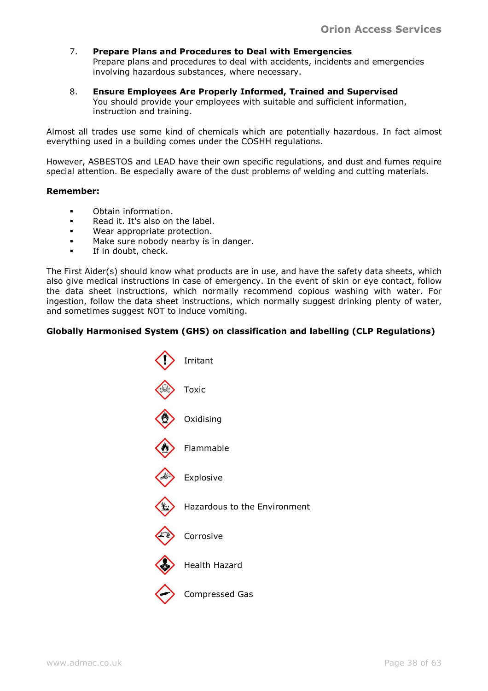7. **Prepare Plans and Procedures to Deal with Emergencies**  Prepare plans and procedures to deal with accidents, incidents and emergencies involving hazardous substances, where necessary.

### 8. **Ensure Employees Are Properly Informed, Trained and Supervised**

You should provide your employees with suitable and sufficient information, instruction and training.

Almost all trades use some kind of chemicals which are potentially hazardous. In fact almost everything used in a building comes under the COSHH regulations.

However, ASBESTOS and LEAD have their own specific regulations, and dust and fumes require special attention. Be especially aware of the dust problems of welding and cutting materials.

### **Remember:**

- **•** Obtain information.
- Read it. It's also on the label.
- **Wear appropriate protection.**
- **Make sure nobody nearby is in danger.**
- **If in doubt, check.**

The First Aider(s) should know what products are in use, and have the safety data sheets, which also give medical instructions in case of emergency. In the event of skin or eye contact, follow the data sheet instructions, which normally recommend copious washing with water. For ingestion, follow the data sheet instructions, which normally suggest drinking plenty of water, and sometimes suggest NOT to induce vomiting.

### **Globally Harmonised System (GHS) on classification and labelling (CLP Regulations)**

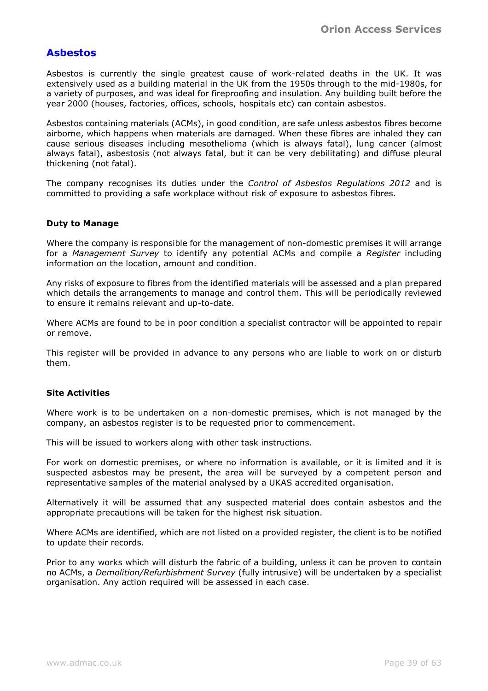### **Asbestos**

Asbestos is currently the single greatest cause of work-related deaths in the UK. It was extensively used as a building material in the UK from the 1950s through to the mid-1980s, for a variety of purposes, and was ideal for fireproofing and insulation. Any building built before the year 2000 (houses, factories, offices, schools, hospitals etc) can contain asbestos.

Asbestos containing materials (ACMs), in good condition, are safe unless asbestos fibres become airborne, which happens when materials are damaged. When these fibres are inhaled they can cause serious diseases including mesothelioma (which is always fatal), lung cancer (almost always fatal), asbestosis (not always fatal, but it can be very debilitating) and diffuse pleural thickening (not fatal).

The company recognises its duties under the *Control of Asbestos Regulations 2012* and is committed to providing a safe workplace without risk of exposure to asbestos fibres.

### **Duty to Manage**

Where the company is responsible for the management of non-domestic premises it will arrange for a *Management Survey* to identify any potential ACMs and compile a *Register* including information on the location, amount and condition.

Any risks of exposure to fibres from the identified materials will be assessed and a plan prepared which details the arrangements to manage and control them. This will be periodically reviewed to ensure it remains relevant and up-to-date.

Where ACMs are found to be in poor condition a specialist contractor will be appointed to repair or remove.

This register will be provided in advance to any persons who are liable to work on or disturb them.

#### **Site Activities**

Where work is to be undertaken on a non-domestic premises, which is not managed by the company, an asbestos register is to be requested prior to commencement.

This will be issued to workers along with other task instructions.

For work on domestic premises, or where no information is available, or it is limited and it is suspected asbestos may be present, the area will be surveyed by a competent person and representative samples of the material analysed by a UKAS accredited organisation.

Alternatively it will be assumed that any suspected material does contain asbestos and the appropriate precautions will be taken for the highest risk situation.

Where ACMs are identified, which are not listed on a provided register, the client is to be notified to update their records.

Prior to any works which will disturb the fabric of a building, unless it can be proven to contain no ACMs, a *Demolition/Refurbishment Survey* (fully intrusive) will be undertaken by a specialist organisation. Any action required will be assessed in each case.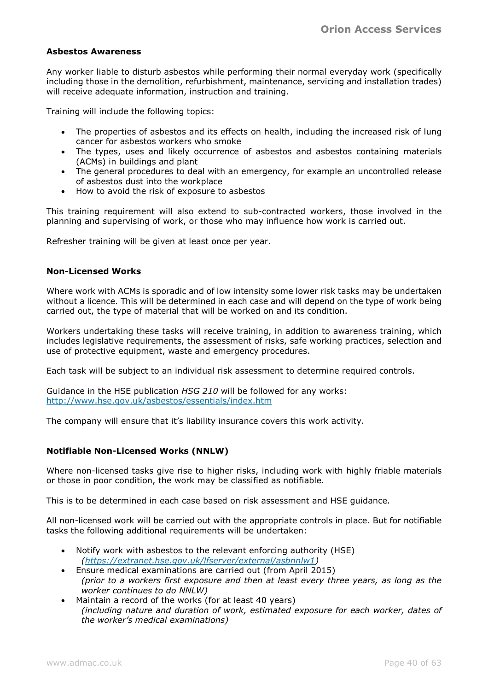#### **Asbestos Awareness**

Any worker liable to disturb asbestos while performing their normal everyday work (specifically including those in the demolition, refurbishment, maintenance, servicing and installation trades) will receive adequate information, instruction and training.

Training will include the following topics:

- The properties of asbestos and its effects on health, including the increased risk of lung cancer for asbestos workers who smoke
- The types, uses and likely occurrence of asbestos and asbestos containing materials (ACMs) in buildings and plant
- The general procedures to deal with an emergency, for example an uncontrolled release of asbestos dust into the workplace
- How to avoid the risk of exposure to asbestos

This training requirement will also extend to sub-contracted workers, those involved in the planning and supervising of work, or those who may influence how work is carried out.

Refresher training will be given at least once per year.

#### **Non-Licensed Works**

Where work with ACMs is sporadic and of low intensity some lower risk tasks may be undertaken without a licence. This will be determined in each case and will depend on the type of work being carried out, the type of material that will be worked on and its condition.

Workers undertaking these tasks will receive training, in addition to awareness training, which includes legislative requirements, the assessment of risks, safe working practices, selection and use of protective equipment, waste and emergency procedures.

Each task will be subject to an individual risk assessment to determine required controls.

Guidance in the HSE publication *HSG 210* will be followed for any works: http://www.hse.gov.uk/asbestos/essentials/index.htm

The company will ensure that it's liability insurance covers this work activity.

#### **Notifiable Non-Licensed Works (NNLW)**

Where non-licensed tasks give rise to higher risks, including work with highly friable materials or those in poor condition, the work may be classified as notifiable.

This is to be determined in each case based on risk assessment and HSE guidance.

All non-licensed work will be carried out with the appropriate controls in place. But for notifiable tasks the following additional requirements will be undertaken:

- Notify work with asbestos to the relevant enforcing authority (HSE) *(https://extranet.hse.gov.uk/lfserver/external/asbnnlw1)*
- Ensure medical examinations are carried out (from April 2015) *(prior to a workers first exposure and then at least every three years, as long as the worker continues to do NNLW)*
- Maintain a record of the works (for at least 40 years) *(including nature and duration of work, estimated exposure for each worker, dates of the worker's medical examinations)*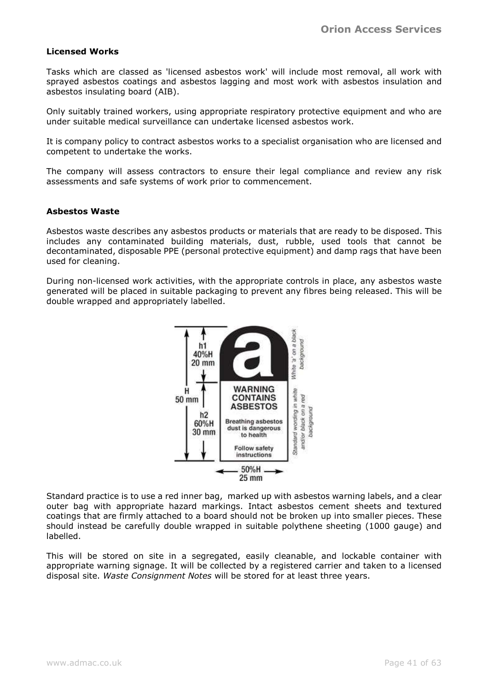#### **Licensed Works**

Tasks which are classed as 'licensed asbestos work' will include most removal, all work with sprayed asbestos coatings and asbestos lagging and most work with asbestos insulation and asbestos insulating board (AIB).

Only suitably trained workers, using appropriate respiratory protective equipment and who are under suitable medical surveillance can undertake licensed asbestos work.

It is company policy to contract asbestos works to a specialist organisation who are licensed and competent to undertake the works.

The company will assess contractors to ensure their legal compliance and review any risk assessments and safe systems of work prior to commencement.

#### **Asbestos Waste**

Asbestos waste describes any asbestos products or materials that are ready to be disposed. This includes any contaminated building materials, dust, rubble, used tools that cannot be decontaminated, disposable PPE (personal protective equipment) and damp rags that have been used for cleaning.

During non-licensed work activities, with the appropriate controls in place, any asbestos waste generated will be placed in suitable packaging to prevent any fibres being released. This will be double wrapped and appropriately labelled.



Standard practice is to use a red inner bag, marked up with asbestos warning labels, and a clear outer bag with appropriate hazard markings. Intact asbestos cement sheets and textured coatings that are firmly attached to a board should not be broken up into smaller pieces. These should instead be carefully double wrapped in suitable polythene sheeting (1000 gauge) and labelled.

This will be stored on site in a segregated, easily cleanable, and lockable container with appropriate warning signage. It will be collected by a registered carrier and taken to a licensed disposal site. *Waste Consignment Notes* will be stored for at least three years.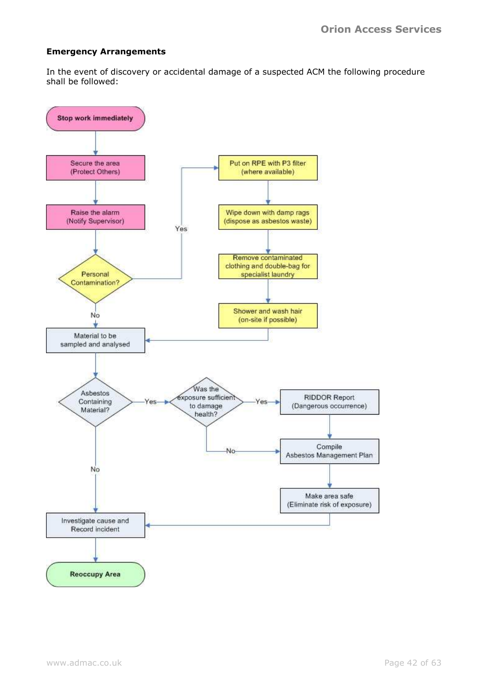### **Emergency Arrangements**

In the event of discovery or accidental damage of a suspected ACM the following procedure shall be followed:

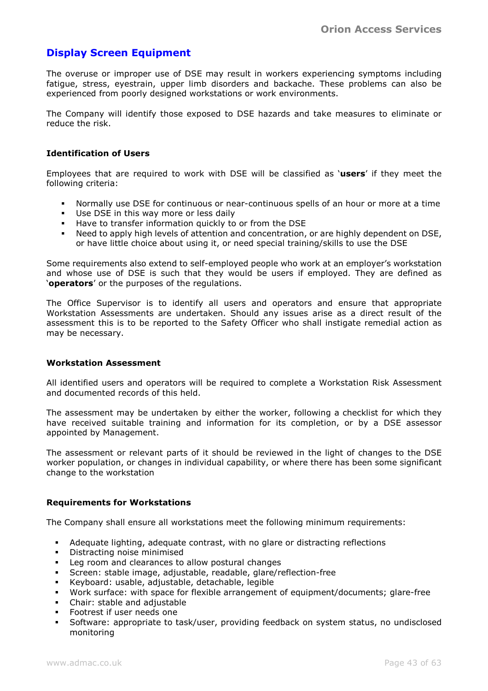### **Display Screen Equipment**

The overuse or improper use of DSE may result in workers experiencing symptoms including fatigue, stress, eyestrain, upper limb disorders and backache. These problems can also be experienced from poorly designed workstations or work environments.

The Company will identify those exposed to DSE hazards and take measures to eliminate or reduce the risk.

#### **Identification of Users**

Employees that are required to work with DSE will be classified as '**users**' if they meet the following criteria:

- Normally use DSE for continuous or near-continuous spells of an hour or more at a time
- Use DSE in this way more or less daily
- **Have to transfer information quickly to or from the DSE**
- Need to apply high levels of attention and concentration, or are highly dependent on DSE, or have little choice about using it, or need special training/skills to use the DSE

Some requirements also extend to self-employed people who work at an employer's workstation and whose use of DSE is such that they would be users if employed. They are defined as '**operators**' or the purposes of the regulations.

The Office Supervisor is to identify all users and operators and ensure that appropriate Workstation Assessments are undertaken. Should any issues arise as a direct result of the assessment this is to be reported to the Safety Officer who shall instigate remedial action as may be necessary.

### **Workstation Assessment**

All identified users and operators will be required to complete a Workstation Risk Assessment and documented records of this held.

The assessment may be undertaken by either the worker, following a checklist for which they have received suitable training and information for its completion, or by a DSE assessor appointed by Management.

The assessment or relevant parts of it should be reviewed in the light of changes to the DSE worker population, or changes in individual capability, or where there has been some significant change to the workstation

#### **Requirements for Workstations**

The Company shall ensure all workstations meet the following minimum requirements:

- Adequate lighting, adequate contrast, with no glare or distracting reflections
- Distracting noise minimised
- Leg room and clearances to allow postural changes
- Screen: stable image, adjustable, readable, glare/reflection-free
- Keyboard: usable, adjustable, detachable, legible
- Work surface: with space for flexible arrangement of equipment/documents; glare-free
- Chair: stable and adjustable
- Footrest if user needs one
- Software: appropriate to task/user, providing feedback on system status, no undisclosed monitoring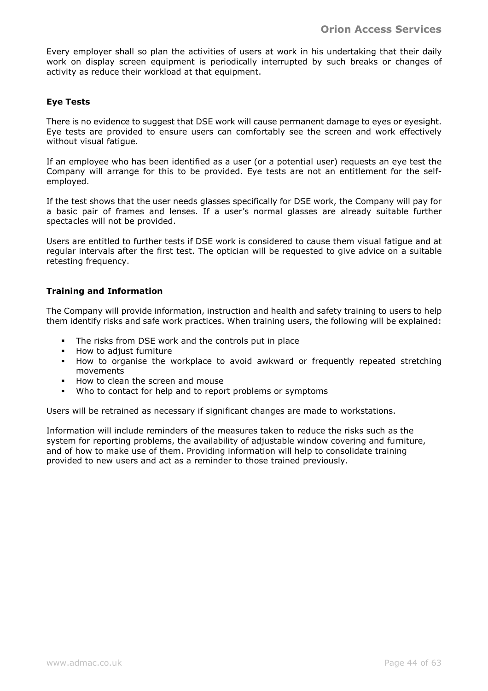Every employer shall so plan the activities of users at work in his undertaking that their daily work on display screen equipment is periodically interrupted by such breaks or changes of activity as reduce their workload at that equipment.

### **Eye Tests**

There is no evidence to suggest that DSE work will cause permanent damage to eyes or eyesight. Eye tests are provided to ensure users can comfortably see the screen and work effectively without visual fatigue.

If an employee who has been identified as a user (or a potential user) requests an eye test the Company will arrange for this to be provided. Eye tests are not an entitlement for the selfemployed.

If the test shows that the user needs glasses specifically for DSE work, the Company will pay for a basic pair of frames and lenses. If a user's normal glasses are already suitable further spectacles will not be provided.

Users are entitled to further tests if DSE work is considered to cause them visual fatigue and at regular intervals after the first test. The optician will be requested to give advice on a suitable retesting frequency.

### **Training and Information**

The Company will provide information, instruction and health and safety training to users to help them identify risks and safe work practices. When training users, the following will be explained:

- The risks from DSE work and the controls put in place
- **How to adjust furniture**
- How to organise the workplace to avoid awkward or frequently repeated stretching movements
- How to clean the screen and mouse
- Who to contact for help and to report problems or symptoms

Users will be retrained as necessary if significant changes are made to workstations.

Information will include reminders of the measures taken to reduce the risks such as the system for reporting problems, the availability of adjustable window covering and furniture, and of how to make use of them. Providing information will help to consolidate training provided to new users and act as a reminder to those trained previously.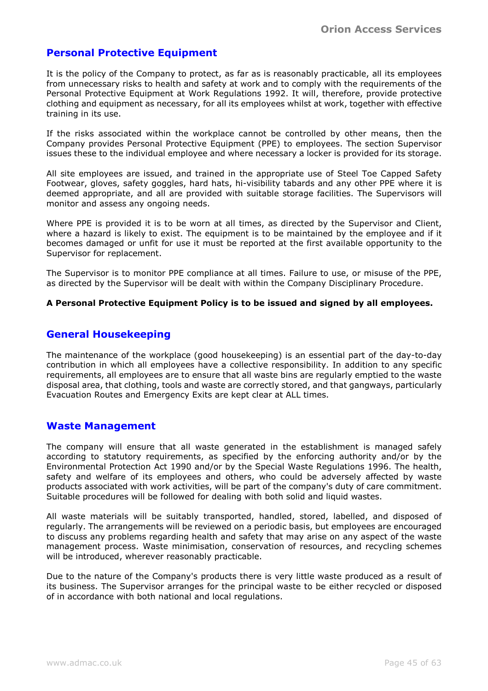### **Personal Protective Equipment**

It is the policy of the Company to protect, as far as is reasonably practicable, all its employees from unnecessary risks to health and safety at work and to comply with the requirements of the Personal Protective Equipment at Work Regulations 1992. It will, therefore, provide protective clothing and equipment as necessary, for all its employees whilst at work, together with effective training in its use.

If the risks associated within the workplace cannot be controlled by other means, then the Company provides Personal Protective Equipment (PPE) to employees. The section Supervisor issues these to the individual employee and where necessary a locker is provided for its storage.

All site employees are issued, and trained in the appropriate use of Steel Toe Capped Safety Footwear, gloves, safety goggles, hard hats, hi-visibility tabards and any other PPE where it is deemed appropriate, and all are provided with suitable storage facilities. The Supervisors will monitor and assess any ongoing needs.

Where PPE is provided it is to be worn at all times, as directed by the Supervisor and Client, where a hazard is likely to exist. The equipment is to be maintained by the employee and if it becomes damaged or unfit for use it must be reported at the first available opportunity to the Supervisor for replacement.

The Supervisor is to monitor PPE compliance at all times. Failure to use, or misuse of the PPE, as directed by the Supervisor will be dealt with within the Company Disciplinary Procedure.

#### **A Personal Protective Equipment Policy is to be issued and signed by all employees.**

### **General Housekeeping**

The maintenance of the workplace (good housekeeping) is an essential part of the day-to-day contribution in which all employees have a collective responsibility. In addition to any specific requirements, all employees are to ensure that all waste bins are regularly emptied to the waste disposal area, that clothing, tools and waste are correctly stored, and that gangways, particularly Evacuation Routes and Emergency Exits are kept clear at ALL times.

### **Waste Management**

The company will ensure that all waste generated in the establishment is managed safely according to statutory requirements, as specified by the enforcing authority and/or by the Environmental Protection Act 1990 and/or by the Special Waste Regulations 1996. The health, safety and welfare of its employees and others, who could be adversely affected by waste products associated with work activities, will be part of the company's duty of care commitment. Suitable procedures will be followed for dealing with both solid and liquid wastes.

All waste materials will be suitably transported, handled, stored, labelled, and disposed of regularly. The arrangements will be reviewed on a periodic basis, but employees are encouraged to discuss any problems regarding health and safety that may arise on any aspect of the waste management process. Waste minimisation, conservation of resources, and recycling schemes will be introduced, wherever reasonably practicable.

Due to the nature of the Company's products there is very little waste produced as a result of its business. The Supervisor arranges for the principal waste to be either recycled or disposed of in accordance with both national and local regulations.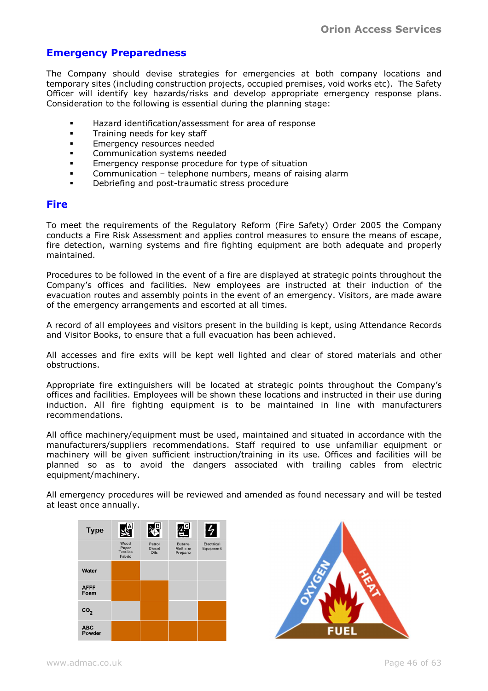### **Emergency Preparedness**

The Company should devise strategies for emergencies at both company locations and temporary sites (including construction projects, occupied premises, void works etc). The Safety Officer will identify key hazards/risks and develop appropriate emergency response plans. Consideration to the following is essential during the planning stage:

- Hazard identification/assessment for area of response
- **Training needs for key staff**
- **Emergency resources needed**
- **EXECOMMUNICATION SYSTEMS Needed**
- Emergency response procedure for type of situation
- **Communication telephone numbers, means of raising alarm**
- Debriefing and post-traumatic stress procedure

### **Fire**

To meet the requirements of the Regulatory Reform (Fire Safety) Order 2005 the Company conducts a Fire Risk Assessment and applies control measures to ensure the means of escape, fire detection, warning systems and fire fighting equipment are both adequate and properly maintained.

Procedures to be followed in the event of a fire are displayed at strategic points throughout the Company's offices and facilities. New employees are instructed at their induction of the evacuation routes and assembly points in the event of an emergency. Visitors, are made aware of the emergency arrangements and escorted at all times.

A record of all employees and visitors present in the building is kept, using Attendance Records and Visitor Books, to ensure that a full evacuation has been achieved.

All accesses and fire exits will be kept well lighted and clear of stored materials and other obstructions.

Appropriate fire extinguishers will be located at strategic points throughout the Company's offices and facilities. Employees will be shown these locations and instructed in their use during induction. All fire fighting equipment is to be maintained in line with manufacturers recommendations.

All office machinery/equipment must be used, maintained and situated in accordance with the manufacturers/suppliers recommendations. Staff required to use unfamiliar equipment or machinery will be given sufficient instruction/training in its use. Offices and facilities will be planned so as to avoid the dangers associated with trailing cables from electric equipment/machinery.

All emergency procedures will be reviewed and amended as found necessary and will be tested at least once annually.



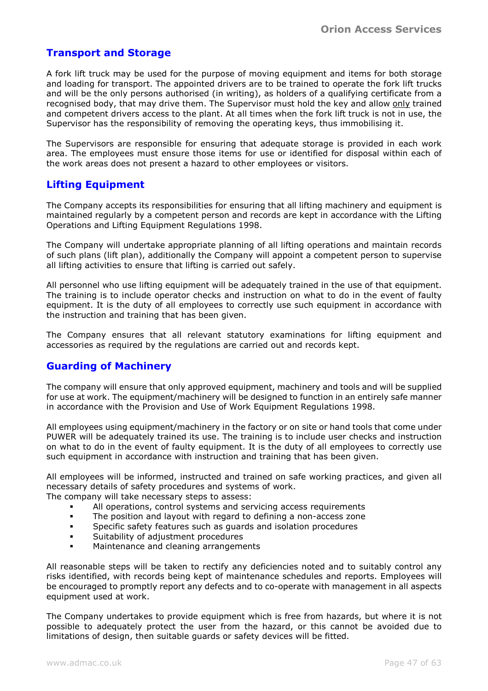### **Transport and Storage**

A fork lift truck may be used for the purpose of moving equipment and items for both storage and loading for transport. The appointed drivers are to be trained to operate the fork lift trucks and will be the only persons authorised (in writing), as holders of a qualifying certificate from a recognised body, that may drive them. The Supervisor must hold the key and allow only trained and competent drivers access to the plant. At all times when the fork lift truck is not in use, the Supervisor has the responsibility of removing the operating keys, thus immobilising it.

The Supervisors are responsible for ensuring that adequate storage is provided in each work area. The employees must ensure those items for use or identified for disposal within each of the work areas does not present a hazard to other employees or visitors.

### **Lifting Equipment**

The Company accepts its responsibilities for ensuring that all lifting machinery and equipment is maintained regularly by a competent person and records are kept in accordance with the Lifting Operations and Lifting Equipment Regulations 1998.

The Company will undertake appropriate planning of all lifting operations and maintain records of such plans (lift plan), additionally the Company will appoint a competent person to supervise all lifting activities to ensure that lifting is carried out safely.

All personnel who use lifting equipment will be adequately trained in the use of that equipment. The training is to include operator checks and instruction on what to do in the event of faulty equipment. It is the duty of all employees to correctly use such equipment in accordance with the instruction and training that has been given.

The Company ensures that all relevant statutory examinations for lifting equipment and accessories as required by the regulations are carried out and records kept.

### **Guarding of Machinery**

The company will ensure that only approved equipment, machinery and tools and will be supplied for use at work. The equipment/machinery will be designed to function in an entirely safe manner in accordance with the Provision and Use of Work Equipment Regulations 1998.

All employees using equipment/machinery in the factory or on site or hand tools that come under PUWER will be adequately trained its use. The training is to include user checks and instruction on what to do in the event of faulty equipment. It is the duty of all employees to correctly use such equipment in accordance with instruction and training that has been given.

All employees will be informed, instructed and trained on safe working practices, and given all necessary details of safety procedures and systems of work.

The company will take necessary steps to assess:

- All operations, control systems and servicing access requirements
- The position and layout with regard to defining a non-access zone
- Specific safety features such as guards and isolation procedures
- Suitability of adjustment procedures
- Maintenance and cleaning arrangements

All reasonable steps will be taken to rectify any deficiencies noted and to suitably control any risks identified, with records being kept of maintenance schedules and reports. Employees will be encouraged to promptly report any defects and to co-operate with management in all aspects equipment used at work.

The Company undertakes to provide equipment which is free from hazards, but where it is not possible to adequately protect the user from the hazard, or this cannot be avoided due to limitations of design, then suitable guards or safety devices will be fitted.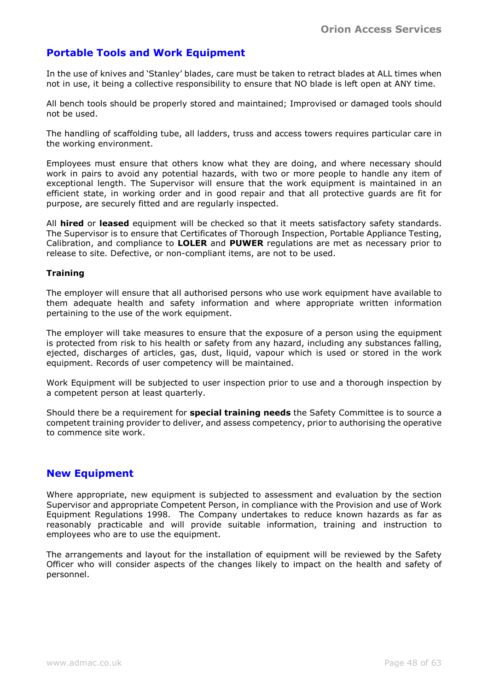### **Portable Tools and Work Equipment**

In the use of knives and 'Stanley' blades, care must be taken to retract blades at ALL times when not in use, it being a collective responsibility to ensure that NO blade is left open at ANY time.

All bench tools should be properly stored and maintained; Improvised or damaged tools should not be used.

The handling of scaffolding tube, all ladders, truss and access towers requires particular care in the working environment.

Employees must ensure that others know what they are doing, and where necessary should work in pairs to avoid any potential hazards, with two or more people to handle any item of exceptional length. The Supervisor will ensure that the work equipment is maintained in an efficient state, in working order and in good repair and that all protective guards are fit for purpose, are securely fitted and are regularly inspected.

All **hired** or **leased** equipment will be checked so that it meets satisfactory safety standards. The Supervisor is to ensure that Certificates of Thorough Inspection, Portable Appliance Testing, Calibration, and compliance to **LOLER** and **PUWER** regulations are met as necessary prior to release to site. Defective, or non-compliant items, are not to be used.

### **Training**

The employer will ensure that all authorised persons who use work equipment have available to them adequate health and safety information and where appropriate written information pertaining to the use of the work equipment.

The employer will take measures to ensure that the exposure of a person using the equipment is protected from risk to his health or safety from any hazard, including any substances falling, ejected, discharges of articles, gas, dust, liquid, vapour which is used or stored in the work equipment. Records of user competency will be maintained.

Work Equipment will be subjected to user inspection prior to use and a thorough inspection by a competent person at least quarterly.

Should there be a requirement for **special training needs** the Safety Committee is to source a competent training provider to deliver, and assess competency, prior to authorising the operative to commence site work.

### **New Equipment**

Where appropriate, new equipment is subjected to assessment and evaluation by the section Supervisor and appropriate Competent Person, in compliance with the Provision and use of Work Equipment Regulations 1998. The Company undertakes to reduce known hazards as far as reasonably practicable and will provide suitable information, training and instruction to employees who are to use the equipment.

The arrangements and layout for the installation of equipment will be reviewed by the Safety Officer who will consider aspects of the changes likely to impact on the health and safety of personnel.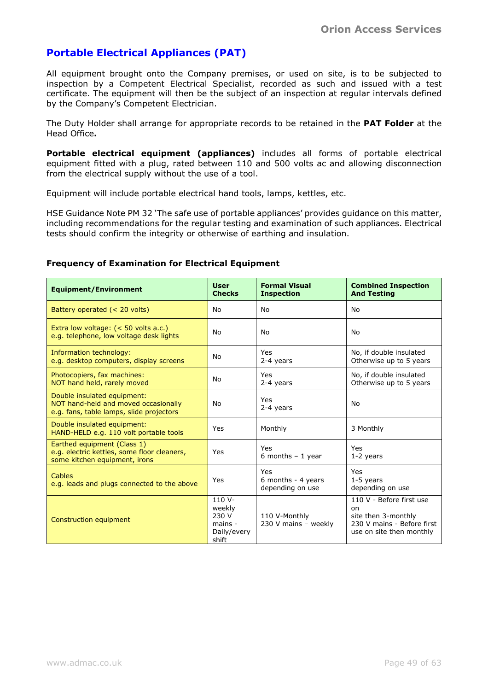### **Portable Electrical Appliances (PAT)**

All equipment brought onto the Company premises, or used on site, is to be subjected to inspection by a Competent Electrical Specialist, recorded as such and issued with a test certificate. The equipment will then be the subject of an inspection at regular intervals defined by the Company's Competent Electrician.

The Duty Holder shall arrange for appropriate records to be retained in the **PAT Folder** at the Head Office**.**

**Portable electrical equipment (appliances)** includes all forms of portable electrical equipment fitted with a plug, rated between 110 and 500 volts ac and allowing disconnection from the electrical supply without the use of a tool.

Equipment will include portable electrical hand tools, lamps, kettles, etc.

HSE Guidance Note PM 32 'The safe use of portable appliances' provides guidance on this matter, including recommendations for the regular testing and examination of such appliances. Electrical tests should confirm the integrity or otherwise of earthing and insulation.

### **Frequency of Examination for Electrical Equipment**

| <b>Equipment/Environment</b>                                                                                    | <b>User</b><br><b>Checks</b>                                   | <b>Formal Visual</b><br><b>Inspection</b>     | <b>Combined Inspection</b><br><b>And Testing</b>                                                                |
|-----------------------------------------------------------------------------------------------------------------|----------------------------------------------------------------|-----------------------------------------------|-----------------------------------------------------------------------------------------------------------------|
| Battery operated $(< 20$ volts)                                                                                 | No                                                             | No                                            | No                                                                                                              |
| Extra low voltage: $(< 50$ volts a.c.)<br>e.g. telephone, low voltage desk lights                               | No                                                             | No                                            | No                                                                                                              |
| Information technology:<br>e.g. desktop computers, display screens                                              | No                                                             | Yes<br>2-4 years                              | No, if double insulated<br>Otherwise up to 5 years                                                              |
| Photocopiers, fax machines:<br>NOT hand held, rarely moved                                                      | No                                                             | Yes<br>2-4 years                              | No, if double insulated<br>Otherwise up to 5 years                                                              |
| Double insulated equipment:<br>NOT hand-held and moved occasionally<br>e.g. fans, table lamps, slide projectors | No                                                             | Yes<br>2-4 years                              | No                                                                                                              |
| Double insulated equipment:<br>HAND-HELD e.g. 110 volt portable tools                                           | Yes                                                            | Monthly                                       | 3 Monthly                                                                                                       |
| Earthed equipment (Class 1)<br>e.g. electric kettles, some floor cleaners,<br>some kitchen equipment, irons     | Yes                                                            | Yes<br>6 months $-1$ year                     | Yes<br>$1-2$ years                                                                                              |
| <b>Cables</b><br>e.g. leads and plugs connected to the above                                                    | Yes                                                            | Yes<br>6 months - 4 years<br>depending on use | Yes<br>$1-5$ years<br>depending on use                                                                          |
| Construction equipment                                                                                          | $110V -$<br>weekly<br>230 V<br>mains -<br>Daily/every<br>shift | 110 V-Monthly<br>230 V mains - weekly         | 110 V - Before first use<br>on<br>site then 3-monthly<br>230 V mains - Before first<br>use on site then monthly |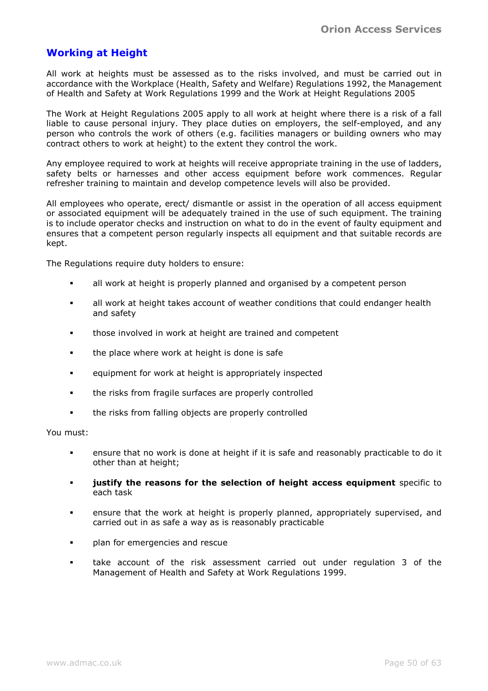### **Working at Height**

All work at heights must be assessed as to the risks involved, and must be carried out in accordance with the Workplace (Health, Safety and Welfare) Regulations 1992, the Management of Health and Safety at Work Regulations 1999 and the Work at Height Regulations 2005

The Work at Height Regulations 2005 apply to all work at height where there is a risk of a fall liable to cause personal injury. They place duties on employers, the self-employed, and any person who controls the work of others (e.g. facilities managers or building owners who may contract others to work at height) to the extent they control the work.

Any employee required to work at heights will receive appropriate training in the use of ladders, safety belts or harnesses and other access equipment before work commences. Regular refresher training to maintain and develop competence levels will also be provided.

All employees who operate, erect/ dismantle or assist in the operation of all access equipment or associated equipment will be adequately trained in the use of such equipment. The training is to include operator checks and instruction on what to do in the event of faulty equipment and ensures that a competent person regularly inspects all equipment and that suitable records are kept.

The Regulations require duty holders to ensure:

- all work at height is properly planned and organised by a competent person
- all work at height takes account of weather conditions that could endanger health and safety
- **those involved in work at height are trained and competent**
- **the place where work at height is done is safe**
- **EXEC** equipment for work at height is appropriately inspected
- **the risks from fragile surfaces are properly controlled**
- **the risks from falling objects are properly controlled**

#### You must:

- ensure that no work is done at height if it is safe and reasonably practicable to do it other than at height;
- **justify the reasons for the selection of height access equipment** specific to each task
- ensure that the work at height is properly planned, appropriately supervised, and carried out in as safe a way as is reasonably practicable
- **plan for emergencies and rescue**
- take account of the risk assessment carried out under regulation 3 of the Management of Health and Safety at Work Regulations 1999.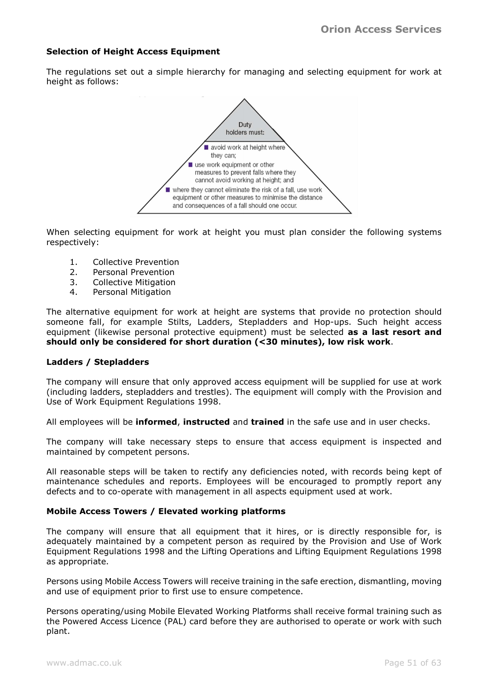### **Selection of Height Access Equipment**

The regulations set out a simple hierarchy for managing and selecting equipment for work at height as follows:



When selecting equipment for work at height you must plan consider the following systems respectively:

- 1. Collective Prevention
- 2. Personal Prevention
- 3. Collective Mitigation
- 4. Personal Mitigation

The alternative equipment for work at height are systems that provide no protection should someone fall, for example Stilts, Ladders, Stepladders and Hop-ups. Such height access equipment (likewise personal protective equipment) must be selected **as a last resort and should only be considered for short duration (<30 minutes), low risk work**.

#### **Ladders / Stepladders**

The company will ensure that only approved access equipment will be supplied for use at work (including ladders, stepladders and trestles). The equipment will comply with the Provision and Use of Work Equipment Regulations 1998.

All employees will be **informed**, **instructed** and **trained** in the safe use and in user checks.

The company will take necessary steps to ensure that access equipment is inspected and maintained by competent persons.

All reasonable steps will be taken to rectify any deficiencies noted, with records being kept of maintenance schedules and reports. Employees will be encouraged to promptly report any defects and to co-operate with management in all aspects equipment used at work.

#### **Mobile Access Towers / Elevated working platforms**

The company will ensure that all equipment that it hires, or is directly responsible for, is adequately maintained by a competent person as required by the Provision and Use of Work Equipment Regulations 1998 and the Lifting Operations and Lifting Equipment Regulations 1998 as appropriate.

Persons using Mobile Access Towers will receive training in the safe erection, dismantling, moving and use of equipment prior to first use to ensure competence.

Persons operating/using Mobile Elevated Working Platforms shall receive formal training such as the Powered Access Licence (PAL) card before they are authorised to operate or work with such plant.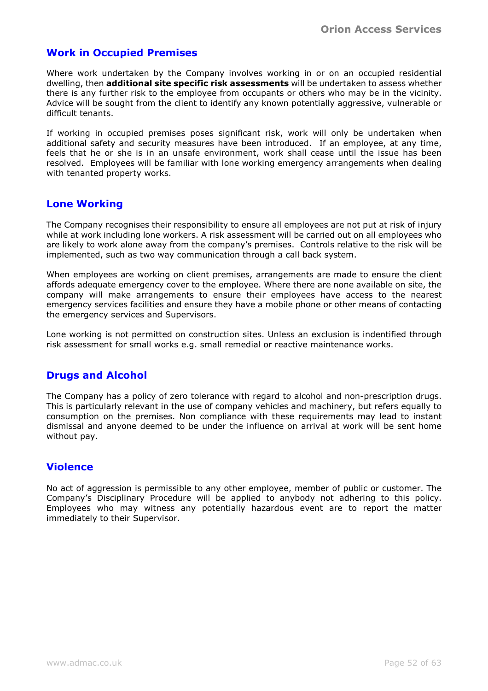### **Work in Occupied Premises**

Where work undertaken by the Company involves working in or on an occupied residential dwelling, then **additional site specific risk assessments** will be undertaken to assess whether there is any further risk to the employee from occupants or others who may be in the vicinity. Advice will be sought from the client to identify any known potentially aggressive, vulnerable or difficult tenants.

If working in occupied premises poses significant risk, work will only be undertaken when additional safety and security measures have been introduced. If an employee, at any time, feels that he or she is in an unsafe environment, work shall cease until the issue has been resolved. Employees will be familiar with lone working emergency arrangements when dealing with tenanted property works.

### **Lone Working**

The Company recognises their responsibility to ensure all employees are not put at risk of injury while at work including lone workers. A risk assessment will be carried out on all employees who are likely to work alone away from the company's premises. Controls relative to the risk will be implemented, such as two way communication through a call back system.

When employees are working on client premises, arrangements are made to ensure the client affords adequate emergency cover to the employee. Where there are none available on site, the company will make arrangements to ensure their employees have access to the nearest emergency services facilities and ensure they have a mobile phone or other means of contacting the emergency services and Supervisors.

Lone working is not permitted on construction sites. Unless an exclusion is indentified through risk assessment for small works e.g. small remedial or reactive maintenance works.

### **Drugs and Alcohol**

The Company has a policy of zero tolerance with regard to alcohol and non-prescription drugs. This is particularly relevant in the use of company vehicles and machinery, but refers equally to consumption on the premises. Non compliance with these requirements may lead to instant dismissal and anyone deemed to be under the influence on arrival at work will be sent home without pay.

### **Violence**

No act of aggression is permissible to any other employee, member of public or customer. The Company's Disciplinary Procedure will be applied to anybody not adhering to this policy. Employees who may witness any potentially hazardous event are to report the matter immediately to their Supervisor.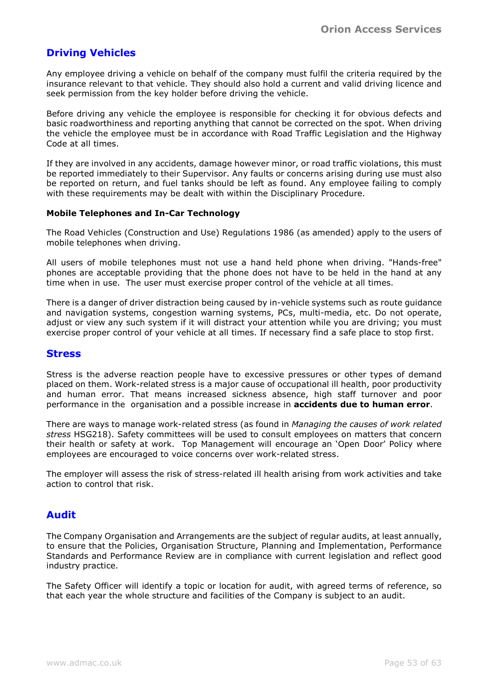### **Driving Vehicles**

Any employee driving a vehicle on behalf of the company must fulfil the criteria required by the insurance relevant to that vehicle. They should also hold a current and valid driving licence and seek permission from the key holder before driving the vehicle.

Before driving any vehicle the employee is responsible for checking it for obvious defects and basic roadworthiness and reporting anything that cannot be corrected on the spot. When driving the vehicle the employee must be in accordance with Road Traffic Legislation and the Highway Code at all times.

If they are involved in any accidents, damage however minor, or road traffic violations, this must be reported immediately to their Supervisor. Any faults or concerns arising during use must also be reported on return, and fuel tanks should be left as found. Any employee failing to comply with these requirements may be dealt with within the Disciplinary Procedure.

### **Mobile Telephones and In-Car Technology**

The Road Vehicles (Construction and Use) Regulations 1986 (as amended) apply to the users of mobile telephones when driving.

All users of mobile telephones must not use a hand held phone when driving. "Hands-free" phones are acceptable providing that the phone does not have to be held in the hand at any time when in use. The user must exercise proper control of the vehicle at all times.

There is a danger of driver distraction being caused by in-vehicle systems such as route guidance and navigation systems, congestion warning systems, PCs, multi-media, etc. Do not operate, adjust or view any such system if it will distract your attention while you are driving; you must exercise proper control of your vehicle at all times. If necessary find a safe place to stop first.

### **Stress**

Stress is the adverse reaction people have to excessive pressures or other types of demand placed on them. Work-related stress is a major cause of occupational ill health, poor productivity and human error. That means increased sickness absence, high staff turnover and poor performance in the organisation and a possible increase in **accidents due to human error**.

There are ways to manage work-related stress (as found in *Managing the causes of work related stress* HSG218). Safety committees will be used to consult employees on matters that concern their health or safety at work. Top Management will encourage an 'Open Door' Policy where employees are encouraged to voice concerns over work-related stress.

The employer will assess the risk of stress-related ill health arising from work activities and take action to control that risk.

### **Audit**

The Company Organisation and Arrangements are the subject of regular audits, at least annually, to ensure that the Policies, Organisation Structure, Planning and Implementation, Performance Standards and Performance Review are in compliance with current legislation and reflect good industry practice.

The Safety Officer will identify a topic or location for audit, with agreed terms of reference, so that each year the whole structure and facilities of the Company is subject to an audit.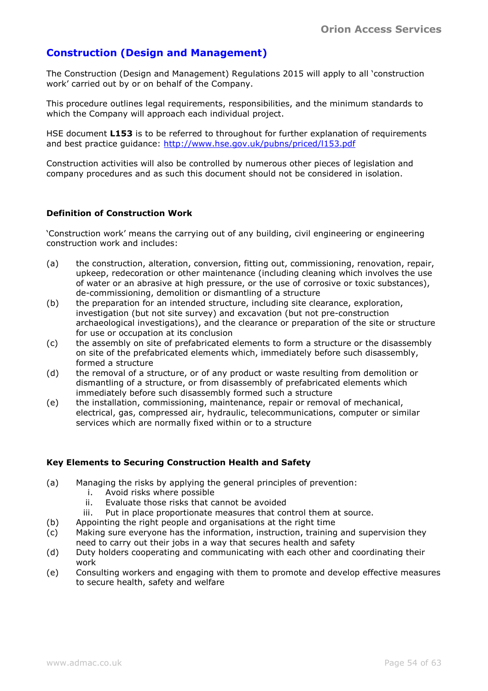### **Construction (Design and Management)**

The Construction (Design and Management) Regulations 2015 will apply to all 'construction work' carried out by or on behalf of the Company.

This procedure outlines legal requirements, responsibilities, and the minimum standards to which the Company will approach each individual project.

HSE document **L153** is to be referred to throughout for further explanation of requirements and best practice guidance: http://www.hse.gov.uk/pubns/priced/l153.pdf

Construction activities will also be controlled by numerous other pieces of legislation and company procedures and as such this document should not be considered in isolation.

### **Definition of Construction Work**

'Construction work' means the carrying out of any building, civil engineering or engineering construction work and includes:

- (a) the construction, alteration, conversion, fitting out, commissioning, renovation, repair, upkeep, redecoration or other maintenance (including cleaning which involves the use of water or an abrasive at high pressure, or the use of corrosive or toxic substances), de-commissioning, demolition or dismantling of a structure
- (b) the preparation for an intended structure, including site clearance, exploration, investigation (but not site survey) and excavation (but not pre-construction archaeological investigations), and the clearance or preparation of the site or structure for use or occupation at its conclusion
- (c) the assembly on site of prefabricated elements to form a structure or the disassembly on site of the prefabricated elements which, immediately before such disassembly, formed a structure
- (d) the removal of a structure, or of any product or waste resulting from demolition or dismantling of a structure, or from disassembly of prefabricated elements which immediately before such disassembly formed such a structure
- (e) the installation, commissioning, maintenance, repair or removal of mechanical, electrical, gas, compressed air, hydraulic, telecommunications, computer or similar services which are normally fixed within or to a structure

#### **Key Elements to Securing Construction Health and Safety**

- (a) Managing the risks by applying the general principles of prevention:
	- i. Avoid risks where possible
	- ii. Evaluate those risks that cannot be avoided
	- iii. Put in place proportionate measures that control them at source.
- (b) Appointing the right people and organisations at the right time
- (c) Making sure everyone has the information, instruction, training and supervision they need to carry out their jobs in a way that secures health and safety
- (d) Duty holders cooperating and communicating with each other and coordinating their work
- (e) Consulting workers and engaging with them to promote and develop effective measures to secure health, safety and welfare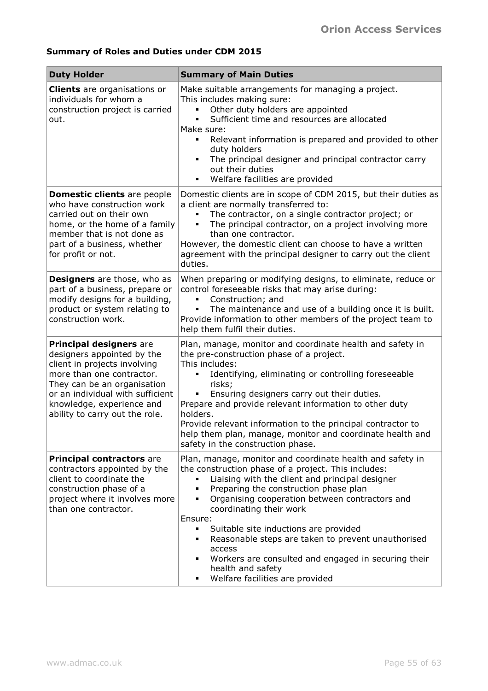### **Summary of Roles and Duties under CDM 2015**

| <b>Duty Holder</b>                                                                                                                                                                                                                                   | <b>Summary of Main Duties</b>                                                                                                                                                                                                                                                                                                                                                                                                                                                                                                                         |
|------------------------------------------------------------------------------------------------------------------------------------------------------------------------------------------------------------------------------------------------------|-------------------------------------------------------------------------------------------------------------------------------------------------------------------------------------------------------------------------------------------------------------------------------------------------------------------------------------------------------------------------------------------------------------------------------------------------------------------------------------------------------------------------------------------------------|
| <b>Clients</b> are organisations or<br>individuals for whom a<br>construction project is carried<br>out.                                                                                                                                             | Make suitable arrangements for managing a project.<br>This includes making sure:<br>Other duty holders are appointed<br>Sufficient time and resources are allocated<br>Make sure:<br>Relevant information is prepared and provided to other<br>duty holders<br>The principal designer and principal contractor carry<br>out their duties<br>Welfare facilities are provided                                                                                                                                                                           |
| <b>Domestic clients are people</b><br>who have construction work<br>carried out on their own<br>home, or the home of a family<br>member that is not done as<br>part of a business, whether<br>for profit or not.                                     | Domestic clients are in scope of CDM 2015, but their duties as<br>a client are normally transferred to:<br>The contractor, on a single contractor project; or<br>The principal contractor, on a project involving more<br>than one contractor.<br>However, the domestic client can choose to have a written<br>agreement with the principal designer to carry out the client<br>duties.                                                                                                                                                               |
| <b>Designers</b> are those, who as<br>part of a business, prepare or<br>modify designs for a building,<br>product or system relating to<br>construction work.                                                                                        | When preparing or modifying designs, to eliminate, reduce or<br>control foreseeable risks that may arise during:<br>Construction; and<br>The maintenance and use of a building once it is built.<br>Provide information to other members of the project team to<br>help them fulfil their duties.                                                                                                                                                                                                                                                     |
| Principal designers are<br>designers appointed by the<br>client in projects involving<br>more than one contractor.<br>They can be an organisation<br>or an individual with sufficient<br>knowledge, experience and<br>ability to carry out the role. | Plan, manage, monitor and coordinate health and safety in<br>the pre-construction phase of a project.<br>This includes:<br>Identifying, eliminating or controlling foreseeable<br>risks;<br>Ensuring designers carry out their duties.<br>٠<br>Prepare and provide relevant information to other duty<br>holders.<br>Provide relevant information to the principal contractor to<br>help them plan, manage, monitor and coordinate health and<br>safety in the construction phase.                                                                    |
| Principal contractors are<br>contractors appointed by the<br>client to coordinate the<br>construction phase of a<br>project where it involves more<br>than one contractor.                                                                           | Plan, manage, monitor and coordinate health and safety in<br>the construction phase of a project. This includes:<br>Liaising with the client and principal designer<br>Preparing the construction phase plan<br>Organising cooperation between contractors and<br>٠<br>coordinating their work<br>Ensure:<br>Suitable site inductions are provided<br>٠<br>Reasonable steps are taken to prevent unauthorised<br>٠<br>access<br>Workers are consulted and engaged in securing their<br>٠<br>health and safety<br>Welfare facilities are provided<br>٠ |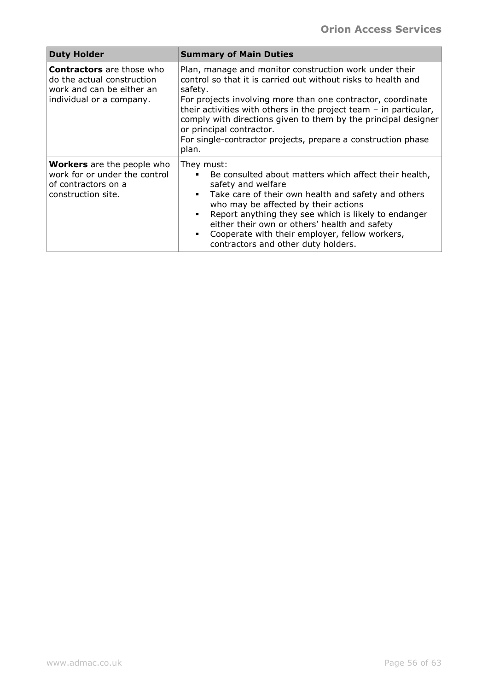| <b>Duty Holder</b>                                                                                                      | <b>Summary of Main Duties</b>                                                                                                                                                                                                                                                                                                                                                                                                                   |
|-------------------------------------------------------------------------------------------------------------------------|-------------------------------------------------------------------------------------------------------------------------------------------------------------------------------------------------------------------------------------------------------------------------------------------------------------------------------------------------------------------------------------------------------------------------------------------------|
| <b>Contractors</b> are those who<br>do the actual construction<br>work and can be either an<br>individual or a company. | Plan, manage and monitor construction work under their<br>control so that it is carried out without risks to health and<br>safety.<br>For projects involving more than one contractor, coordinate<br>their activities with others in the project team $-$ in particular,<br>comply with directions given to them by the principal designer<br>or principal contractor.<br>For single-contractor projects, prepare a construction phase<br>plan. |
| <b>Workers</b> are the people who<br>work for or under the control<br>of contractors on a<br>construction site.         | They must:<br>Be consulted about matters which affect their health,<br>safety and welfare<br>Take care of their own health and safety and others<br>$\blacksquare$<br>who may be affected by their actions<br>Report anything they see which is likely to endanger<br>٠<br>either their own or others' health and safety<br>Cooperate with their employer, fellow workers,<br>$\blacksquare$<br>contractors and other duty holders.             |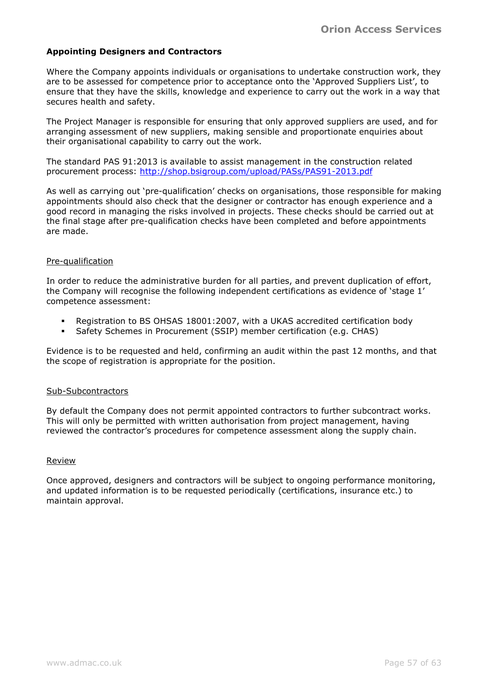### **Appointing Designers and Contractors**

Where the Company appoints individuals or organisations to undertake construction work, they are to be assessed for competence prior to acceptance onto the 'Approved Suppliers List', to ensure that they have the skills, knowledge and experience to carry out the work in a way that secures health and safety.

The Project Manager is responsible for ensuring that only approved suppliers are used, and for arranging assessment of new suppliers, making sensible and proportionate enquiries about their organisational capability to carry out the work.

The standard PAS 91:2013 is available to assist management in the construction related procurement process: http://shop.bsigroup.com/upload/PASs/PAS91-2013.pdf

As well as carrying out 'pre-qualification' checks on organisations, those responsible for making appointments should also check that the designer or contractor has enough experience and a good record in managing the risks involved in projects. These checks should be carried out at the final stage after pre-qualification checks have been completed and before appointments are made.

#### Pre-qualification

In order to reduce the administrative burden for all parties, and prevent duplication of effort, the Company will recognise the following independent certifications as evidence of 'stage 1' competence assessment:

- Registration to BS OHSAS 18001:2007, with a UKAS accredited certification body
- Safety Schemes in Procurement (SSIP) member certification (e.g. CHAS)

Evidence is to be requested and held, confirming an audit within the past 12 months, and that the scope of registration is appropriate for the position.

#### Sub-Subcontractors

By default the Company does not permit appointed contractors to further subcontract works. This will only be permitted with written authorisation from project management, having reviewed the contractor's procedures for competence assessment along the supply chain.

#### **Review**

Once approved, designers and contractors will be subject to ongoing performance monitoring, and updated information is to be requested periodically (certifications, insurance etc.) to maintain approval.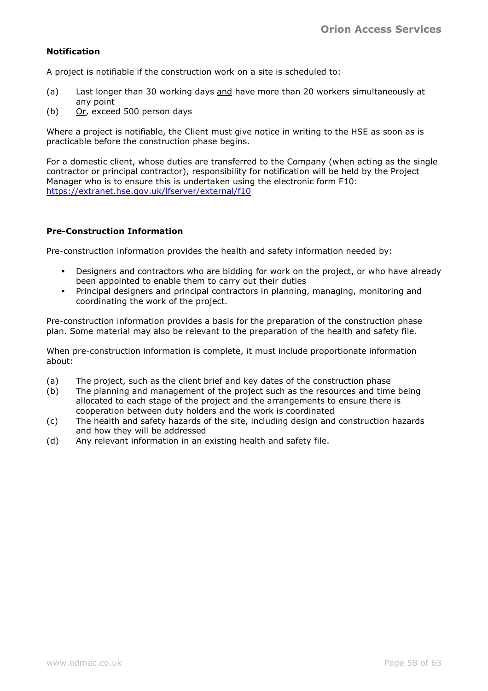### **Notification**

A project is notifiable if the construction work on a site is scheduled to:

- (a) Last longer than 30 working days and have more than 20 workers simultaneously at any point
- (b) Or, exceed 500 person days

Where a project is notifiable, the Client must give notice in writing to the HSE as soon as is practicable before the construction phase begins.

For a domestic client, whose duties are transferred to the Company (when acting as the single contractor or principal contractor), responsibility for notification will be held by the Project Manager who is to ensure this is undertaken using the electronic form F10: https://extranet.hse.gov.uk/lfserver/external/f10

### **Pre-Construction Information**

Pre-construction information provides the health and safety information needed by:

- **Designers and contractors who are bidding for work on the project, or who have already** been appointed to enable them to carry out their duties
- Principal designers and principal contractors in planning, managing, monitoring and coordinating the work of the project.

Pre-construction information provides a basis for the preparation of the construction phase plan. Some material may also be relevant to the preparation of the health and safety file.

When pre-construction information is complete, it must include proportionate information about:

- (a) The project, such as the client brief and key dates of the construction phase
- (b) The planning and management of the project such as the resources and time being allocated to each stage of the project and the arrangements to ensure there is cooperation between duty holders and the work is coordinated
- (c) The health and safety hazards of the site, including design and construction hazards and how they will be addressed
- (d) Any relevant information in an existing health and safety file.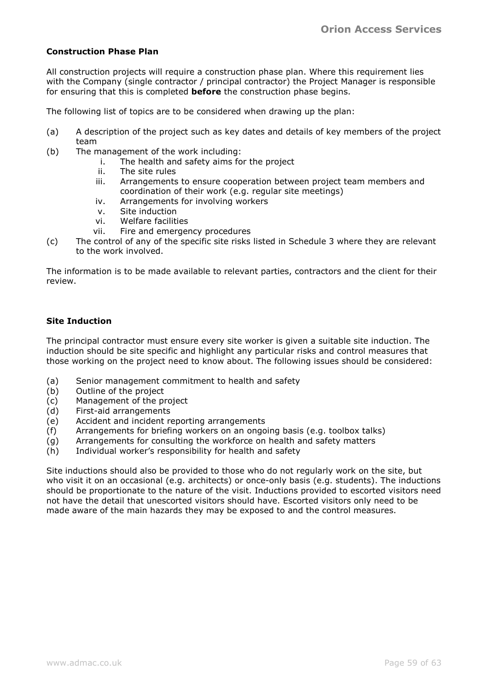### **Construction Phase Plan**

All construction projects will require a construction phase plan. Where this requirement lies with the Company (single contractor / principal contractor) the Project Manager is responsible for ensuring that this is completed **before** the construction phase begins.

The following list of topics are to be considered when drawing up the plan:

- (a) A description of the project such as key dates and details of key members of the project team
- (b) The management of the work including:
	- i. The health and safety aims for the project
	- ii. The site rules
	- iii. Arrangements to ensure cooperation between project team members and coordination of their work (e.g. regular site meetings)
	- iv. Arrangements for involving workers
	- v. Site induction
	- vi. Welfare facilities
	- vii. Fire and emergency procedures
- (c) The control of any of the specific site risks listed in Schedule 3 where they are relevant to the work involved.

The information is to be made available to relevant parties, contractors and the client for their review.

#### **Site Induction**

The principal contractor must ensure every site worker is given a suitable site induction. The induction should be site specific and highlight any particular risks and control measures that those working on the project need to know about. The following issues should be considered:

- (a) Senior management commitment to health and safety
- (b) Outline of the project
- (c) Management of the project
- (d) First-aid arrangements
- (e) Accident and incident reporting arrangements
- (f) Arrangements for briefing workers on an ongoing basis (e.g. toolbox talks)
- (g) Arrangements for consulting the workforce on health and safety matters
- (h) Individual worker's responsibility for health and safety

Site inductions should also be provided to those who do not regularly work on the site, but who visit it on an occasional (e.g. architects) or once-only basis (e.g. students). The inductions should be proportionate to the nature of the visit. Inductions provided to escorted visitors need not have the detail that unescorted visitors should have. Escorted visitors only need to be made aware of the main hazards they may be exposed to and the control measures.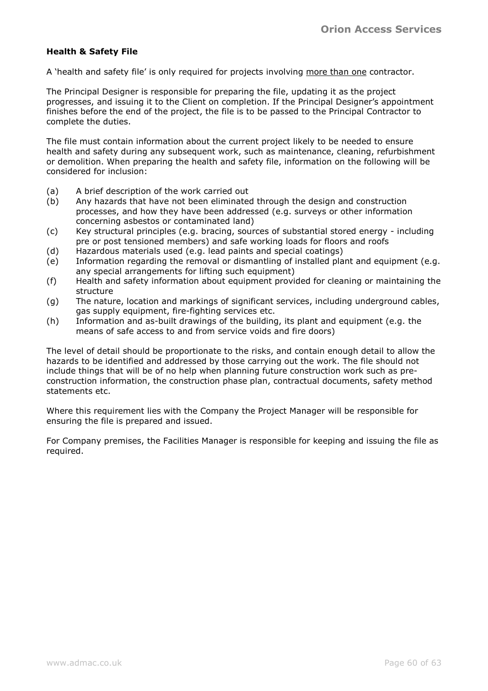### **Health & Safety File**

A 'health and safety file' is only required for projects involving more than one contractor.

The Principal Designer is responsible for preparing the file, updating it as the project progresses, and issuing it to the Client on completion. If the Principal Designer's appointment finishes before the end of the project, the file is to be passed to the Principal Contractor to complete the duties.

The file must contain information about the current project likely to be needed to ensure health and safety during any subsequent work, such as maintenance, cleaning, refurbishment or demolition. When preparing the health and safety file, information on the following will be considered for inclusion:

- (a) A brief description of the work carried out
- (b) Any hazards that have not been eliminated through the design and construction processes, and how they have been addressed (e.g. surveys or other information concerning asbestos or contaminated land)
- (c) Key structural principles (e.g. bracing, sources of substantial stored energy including pre or post tensioned members) and safe working loads for floors and roofs
- (d) Hazardous materials used (e.g. lead paints and special coatings)
- (e) Information regarding the removal or dismantling of installed plant and equipment (e.g. any special arrangements for lifting such equipment)
- (f) Health and safety information about equipment provided for cleaning or maintaining the structure
- (g) The nature, location and markings of significant services, including underground cables, gas supply equipment, fire-fighting services etc.
- (h) Information and as-built drawings of the building, its plant and equipment (e.g. the means of safe access to and from service voids and fire doors)

The level of detail should be proportionate to the risks, and contain enough detail to allow the hazards to be identified and addressed by those carrying out the work. The file should not include things that will be of no help when planning future construction work such as preconstruction information, the construction phase plan, contractual documents, safety method statements etc.

Where this requirement lies with the Company the Project Manager will be responsible for ensuring the file is prepared and issued.

For Company premises, the Facilities Manager is responsible for keeping and issuing the file as required.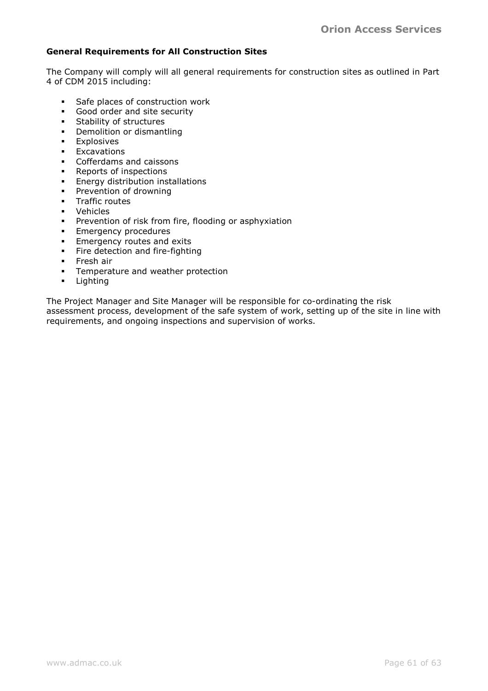### **General Requirements for All Construction Sites**

The Company will comply will all general requirements for construction sites as outlined in Part 4 of CDM 2015 including:

- Safe places of construction work
- Good order and site security
- **Stability of structures**
- Demolition or dismantling
- **Explosives**
- **Excavations**
- Cofferdams and caissons
- **Reports of inspections**
- **Energy distribution installations**
- **Prevention of drowning**
- **Traffic routes**
- Vehicles
- **Prevention of risk from fire, flooding or asphyxiation**
- **Emergency procedures**
- **Emergency routes and exits**
- Fire detection and fire-fighting
- **Fresh air**
- **FILE** Temperature and weather protection
- **Lighting**

The Project Manager and Site Manager will be responsible for co-ordinating the risk assessment process, development of the safe system of work, setting up of the site in line with requirements, and ongoing inspections and supervision of works.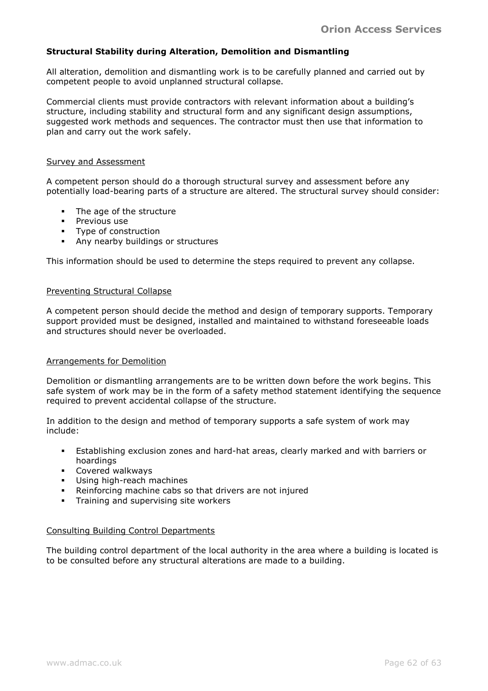### **Structural Stability during Alteration, Demolition and Dismantling**

All alteration, demolition and dismantling work is to be carefully planned and carried out by competent people to avoid unplanned structural collapse.

Commercial clients must provide contractors with relevant information about a building's structure, including stability and structural form and any significant design assumptions, suggested work methods and sequences. The contractor must then use that information to plan and carry out the work safely.

#### Survey and Assessment

A competent person should do a thorough structural survey and assessment before any potentially load-bearing parts of a structure are altered. The structural survey should consider:

- The age of the structure
- **Previous use**
- **Type of construction**
- **Any nearby buildings or structures**

This information should be used to determine the steps required to prevent any collapse.

#### Preventing Structural Collapse

A competent person should decide the method and design of temporary supports. Temporary support provided must be designed, installed and maintained to withstand foreseeable loads and structures should never be overloaded.

#### Arrangements for Demolition

Demolition or dismantling arrangements are to be written down before the work begins. This safe system of work may be in the form of a safety method statement identifying the sequence required to prevent accidental collapse of the structure.

In addition to the design and method of temporary supports a safe system of work may include:

- Establishing exclusion zones and hard-hat areas, clearly marked and with barriers or hoardings
- Covered walkways
- **Using high-reach machines**
- Reinforcing machine cabs so that drivers are not injured
- **Training and supervising site workers**

### Consulting Building Control Departments

The building control department of the local authority in the area where a building is located is to be consulted before any structural alterations are made to a building.